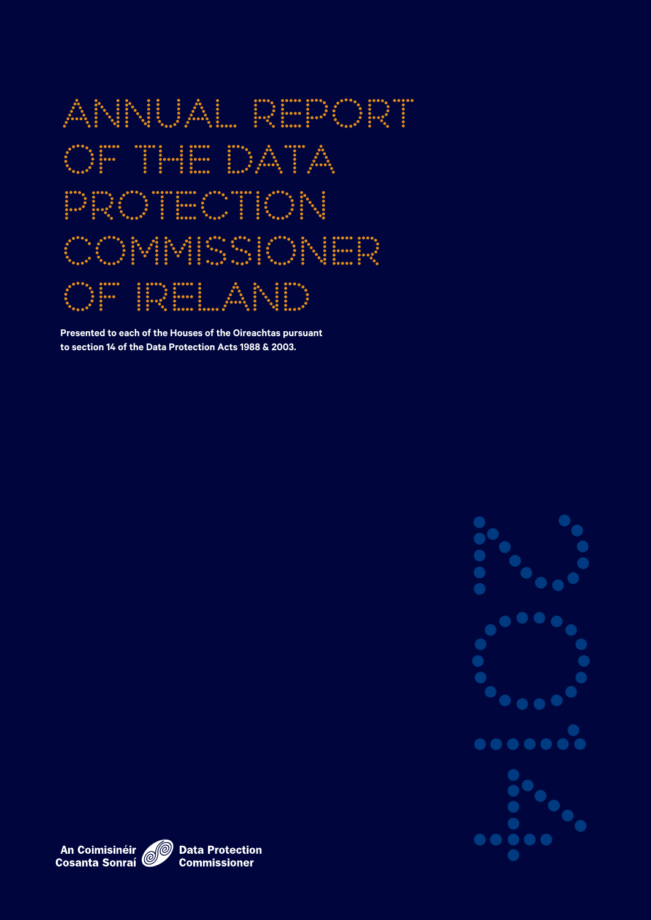

**Presented to each of the Houses of the Oireachtas pursuant to section 14 of the Data Protection Acts 1988 & 2003.**



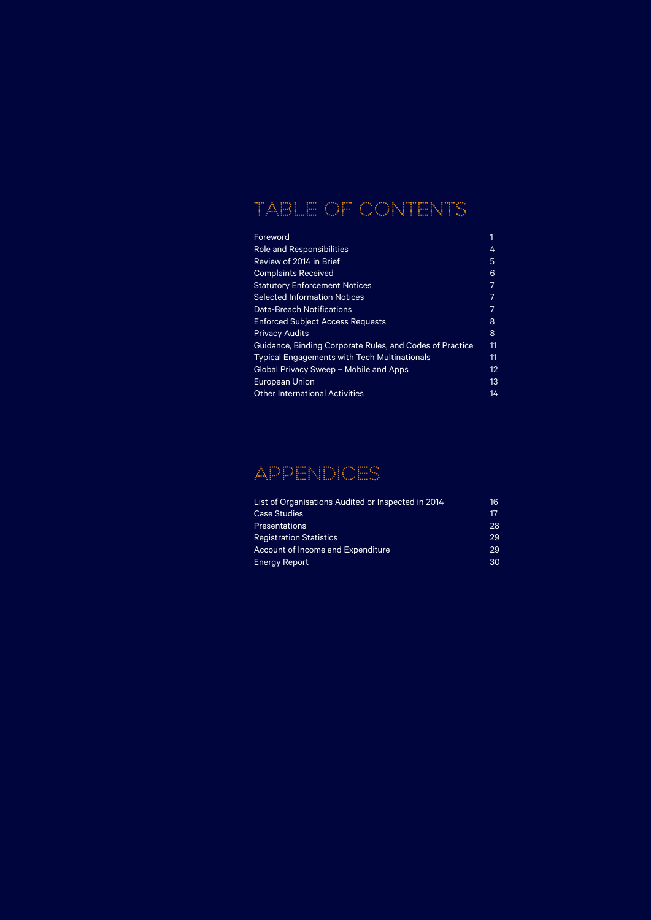# TABLE OF CONTENTS

| Foreword                                                 | 1  |
|----------------------------------------------------------|----|
| <b>Role and Responsibilities</b>                         | 4  |
| Review of 2014 in Brief                                  | 5  |
| <b>Complaints Received</b>                               | 6  |
| <b>Statutory Enforcement Notices</b>                     | 7  |
| <b>Selected Information Notices</b>                      | 7  |
| <b>Data-Breach Notifications</b>                         | 7  |
| <b>Enforced Subject Access Requests</b>                  | 8  |
| <b>Privacy Audits</b>                                    | 8  |
| Guidance, Binding Corporate Rules, and Codes of Practice | 11 |
| <b>Typical Engagements with Tech Multinationals</b>      | 11 |
| Global Privacy Sweep - Mobile and Apps                   | 12 |
| <b>European Union</b>                                    | 13 |
| Other International Activities                           | 14 |

## APPENDICES

| List of Organisations Audited or Inspected in 2014 | 16 |
|----------------------------------------------------|----|
| <b>Case Studies</b>                                | 17 |
| <b>Presentations</b>                               | 28 |
| <b>Registration Statistics</b>                     | 29 |
| Account of Income and Expenditure                  | 29 |
| <b>Energy Report</b>                               | 30 |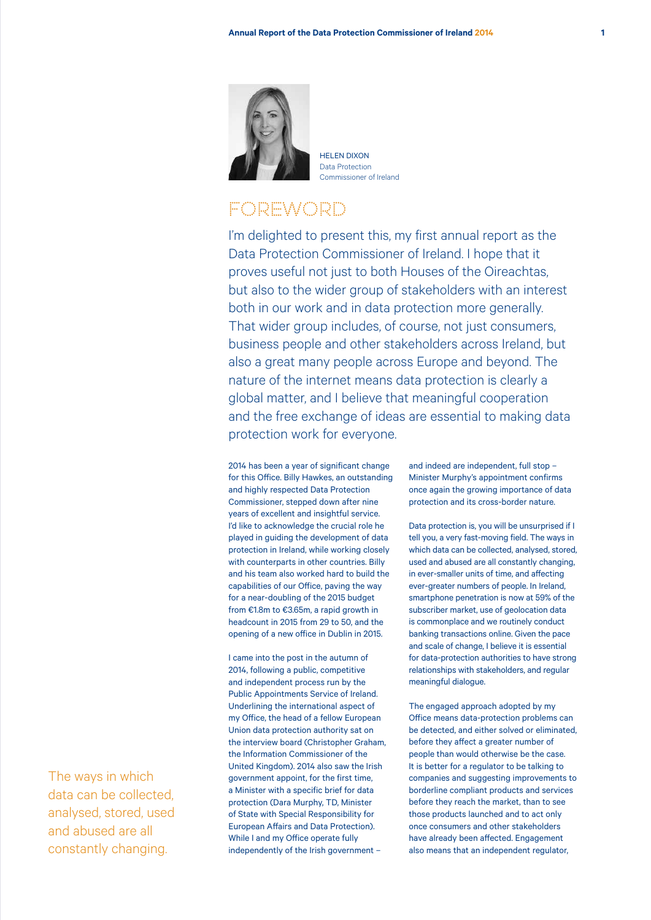

HELEN DIVON Data Protection Commissioner of Ireland

## **FOREWORD**

I'm delighted to present this, my first annual report as the Data Protection Commissioner of Ireland. I hope that it proves useful not just to both Houses of the Oireachtas, but also to the wider group of stakeholders with an interest both in our work and in data protection more generally. That wider group includes, of course, not just consumers, business people and other stakeholders across Ireland, but also a great many people across Europe and beyond. The nature of the internet means data protection is clearly a global matter, and I believe that meaningful cooperation and the free exchange of ideas are essential to making data protection work for everyone.

2014 has been a year of significant change for this Office. Billy Hawkes, an outstanding and highly respected Data Protection Commissioner, stepped down after nine years of excellent and insightful service. I'd like to acknowledge the crucial role he played in guiding the development of data protection in Ireland, while working closely with counterparts in other countries. Billy and his team also worked hard to build the capabilities of our Office, paving the way for a near-doubling of the 2015 budget from €1.8m to €3.65m, a rapid growth in headcount in 2015 from 29 to 50, and the opening of a new office in Dublin in 2015.

I came into the post in the autumn of 2014, following a public, competitive and independent process run by the Public Appointments Service of Ireland. Underlining the international aspect of my Office, the head of a fellow European Union data protection authority sat on the interview board (Christopher Graham, the Information Commissioner of the United Kingdom). 2014 also saw the Irish government appoint, for the first time, a Minister with a specific brief for data protection (Dara Murphy, TD, Minister of State with Special Responsibility for European Affairs and Data Protection). While I and my Office operate fully independently of the Irish government –

and indeed are independent, full stop – Minister Murphy's appointment confirms once again the growing importance of data protection and its cross-border nature.

Data protection is, you will be unsurprised if I tell you, a very fast-moving field. The ways in which data can be collected, analysed, stored, used and abused are all constantly changing, in ever-smaller units of time, and affecting ever-greater numbers of people. In Ireland, smartphone penetration is now at 59% of the subscriber market, use of geolocation data is commonplace and we routinely conduct banking transactions online. Given the pace and scale of change, I believe it is essential for data-protection authorities to have strong relationships with stakeholders, and regular meaningful dialogue.

The engaged approach adopted by my Office means data-protection problems can be detected, and either solved or eliminated, before they affect a greater number of people than would otherwise be the case. It is better for a regulator to be talking to companies and suggesting improvements to borderline compliant products and services before they reach the market, than to see those products launched and to act only once consumers and other stakeholders have already been affected. Engagement also means that an independent regulator,

The ways in which data can be collected, analysed, stored, used and abused are all constantly changing.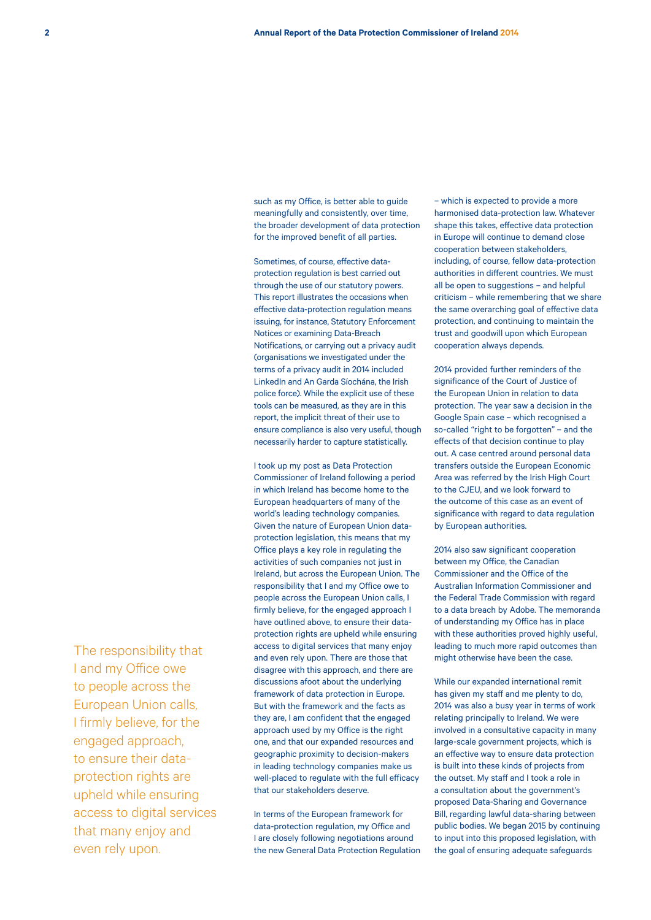such as my Office, is better able to guide meaningfully and consistently, over time, the broader development of data protection for the improved benefit of all parties.

Sometimes, of course, effective dataprotection regulation is best carried out through the use of our statutory powers. This report illustrates the occasions when effective data-protection regulation means issuing, for instance, Statutory Enforcement Notices or examining Data-Breach Notifications, or carrying out a privacy audit (organisations we investigated under the terms of a privacy audit in 2014 included LinkedIn and An Garda Síochána, the Irish police force). While the explicit use of these tools can be measured, as they are in this report, the implicit threat of their use to ensure compliance is also very useful, though necessarily harder to capture statistically.

I took up my post as Data Protection Commissioner of Ireland following a period in which Ireland has become home to the European headquarters of many of the world's leading technology companies. Given the nature of European Union dataprotection legislation, this means that my Office plays a key role in regulating the activities of such companies not just in Ireland, but across the European Union. The responsibility that I and my Office owe to people across the European Union calls, I firmly believe, for the engaged approach I have outlined above, to ensure their dataprotection rights are upheld while ensuring access to digital services that many enjoy and even rely upon. There are those that disagree with this approach, and there are discussions afoot about the underlying framework of data protection in Europe. But with the framework and the facts as they are, I am confident that the engaged approach used by my Office is the right one, and that our expanded resources and geographic proximity to decision-makers in leading technology companies make us well-placed to regulate with the full efficacy that our stakeholders deserve.

In terms of the European framework for data-protection regulation, my Office and I are closely following negotiations around the new General Data Protection Regulation – which is expected to provide a more harmonised data-protection law. Whatever shape this takes, effective data protection in Europe will continue to demand close cooperation between stakeholders, including, of course, fellow data-protection authorities in different countries. We must all be open to suggestions – and helpful criticism – while remembering that we share the same overarching goal of effective data protection, and continuing to maintain the trust and goodwill upon which European cooperation always depends.

2014 provided further reminders of the significance of the Court of Justice of the European Union in relation to data protection. The year saw a decision in the Google Spain case – which recognised a so-called "right to be forgotten" – and the effects of that decision continue to play out. A case centred around personal data transfers outside the European Economic Area was referred by the Irish High Court to the CJEU, and we look forward to the outcome of this case as an event of significance with regard to data regulation by European authorities.

2014 also saw significant cooperation between my Office, the Canadian Commissioner and the Office of the Australian Information Commissioner and the Federal Trade Commission with regard to a data breach by Adobe. The memoranda of understanding my Office has in place with these authorities proved highly useful, leading to much more rapid outcomes than might otherwise have been the case.

While our expanded international remit has given my staff and me plenty to do, 2014 was also a busy year in terms of work relating principally to Ireland. We were involved in a consultative capacity in many large-scale government projects, which is an effective way to ensure data protection is built into these kinds of projects from the outset. My staff and I took a role in a consultation about the government's proposed Data-Sharing and Governance Bill, regarding lawful data-sharing between public bodies. We began 2015 by continuing to input into this proposed legislation, with the goal of ensuring adequate safeguards

The responsibility that I and my Office owe to people across the European Union calls, I firmly believe, for the engaged approach, to ensure their dataprotection rights are upheld while ensuring access to digital services that many enjoy and even rely upon.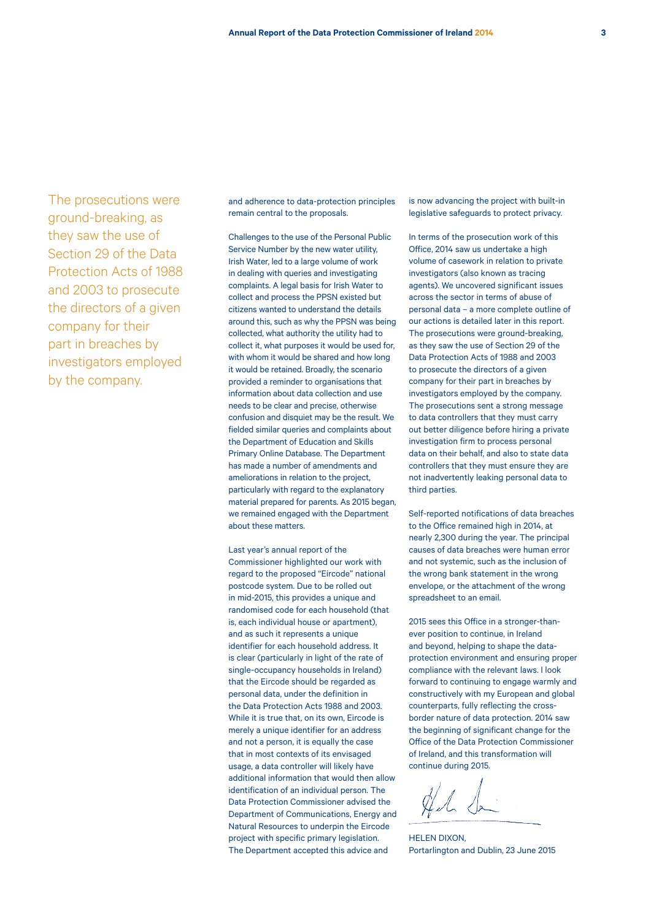The prosecutions were ground-breaking, as they saw the use of Section 29 of the Data Protection Acts of 1988 and 2003 to prosecute the directors of a given company for their part in breaches by investigators employed by the company.

and adherence to data-protection principles remain central to the proposals.

Challenges to the use of the Personal Public Service Number by the new water utility, Irish Water, led to a large volume of work in dealing with queries and investigating complaints. A legal basis for Irish Water to collect and process the PPSN existed but citizens wanted to understand the details around this, such as why the PPSN was being collected, what authority the utility had to collect it, what purposes it would be used for, with whom it would be shared and how long it would be retained. Broadly, the scenario provided a reminder to organisations that information about data collection and use needs to be clear and precise, otherwise confusion and disquiet may be the result. We fielded similar queries and complaints about the Department of Education and Skills Primary Online Database. The Department has made a number of amendments and ameliorations in relation to the project, particularly with regard to the explanatory material prepared for parents. As 2015 began, we remained engaged with the Department about these matters.

Last year's annual report of the Commissioner highlighted our work with regard to the proposed "Eircode" national postcode system. Due to be rolled out in mid-2015, this provides a unique and randomised code for each household (that is, each individual house or apartment), and as such it represents a unique identifier for each household address. It is clear (particularly in light of the rate of single-occupancy households in Ireland) that the Eircode should be regarded as personal data, under the definition in the Data Protection Acts 1988 and 2003. While it is true that, on its own, Eircode is merely a unique identifier for an address and not a person, it is equally the case that in most contexts of its envisaged usage, a data controller will likely have additional information that would then allow identification of an individual person. The Data Protection Commissioner advised the Department of Communications, Energy and Natural Resources to underpin the Eircode project with specific primary legislation. The Department accepted this advice and

is now advancing the project with built-in legislative safeguards to protect privacy.

In terms of the prosecution work of this Office, 2014 saw us undertake a high volume of casework in relation to private investigators (also known as tracing agents). We uncovered significant issues across the sector in terms of abuse of personal data – a more complete outline of our actions is detailed later in this report. The prosecutions were ground-breaking, as they saw the use of Section 29 of the Data Protection Acts of 1988 and 2003 to prosecute the directors of a given company for their part in breaches by investigators employed by the company. The prosecutions sent a strong message to data controllers that they must carry out better diligence before hiring a private investigation firm to process personal data on their behalf, and also to state data controllers that they must ensure they are not inadvertently leaking personal data to third parties.

Self-reported notifications of data breaches to the Office remained high in 2014, at nearly 2,300 during the year. The principal causes of data breaches were human error and not systemic, such as the inclusion of the wrong bank statement in the wrong envelope, or the attachment of the wrong spreadsheet to an email.

2015 sees this Office in a stronger-thanever position to continue, in Ireland and beyond, helping to shape the dataprotection environment and ensuring proper compliance with the relevant laws. I look forward to continuing to engage warmly and constructively with my European and global counterparts, fully reflecting the crossborder nature of data protection. 2014 saw the beginning of significant change for the Office of the Data Protection Commissioner of Ireland, and this transformation will continue during 2015.

HA L

HELEN DIXON Portarlington and Dublin, 23 June 2015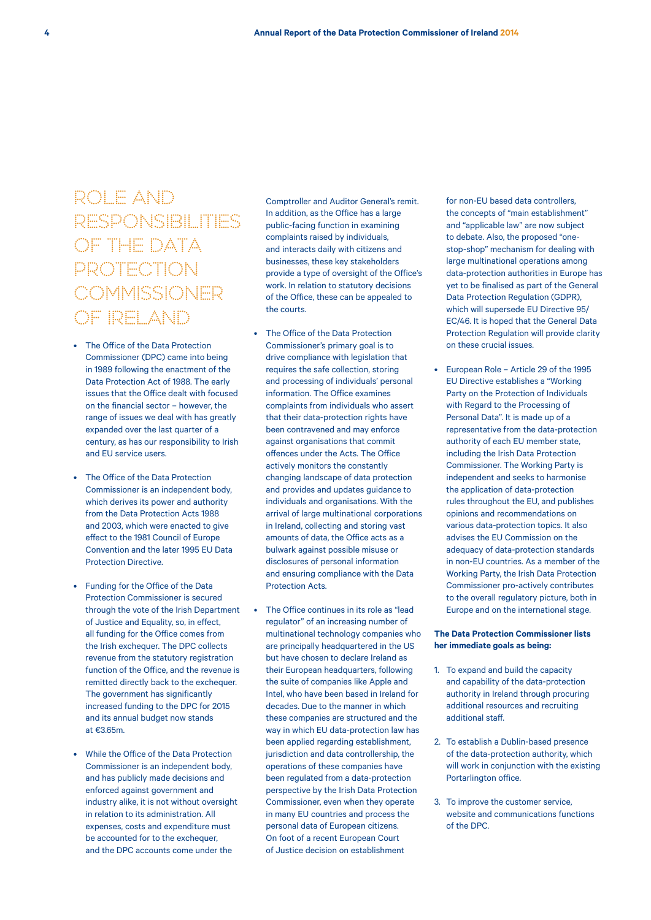# ROLE AND RESPONSIBILITIES OF THE DATA PROTECTION **COMMISSIONER** OF IRELAND

- The Office of the Data Protection Commissioner (DPC) came into being in 1989 following the enactment of the Data Protection Act of 1988. The early issues that the Office dealt with focused on the financial sector – however, the range of issues we deal with has greatly expanded over the last quarter of a century, as has our responsibility to Irish and EU service users.
- The Office of the Data Protection Commissioner is an independent body, which derives its power and authority from the Data Protection Acts 1988 and 2003, which were enacted to give effect to the 1981 Council of Europe Convention and the later 1995 EU Data Protection Directive.
- Funding for the Office of the Data Protection Commissioner is secured through the vote of the Irish Department of Justice and Equality, so, in effect, all funding for the Office comes from the Irish exchequer. The DPC collects revenue from the statutory registration function of the Office, and the revenue is remitted directly back to the exchequer. The government has significantly increased funding to the DPC for 2015 and its annual budget now stands at €3.65m.
- While the Office of the Data Protection Commissioner is an independent body, and has publicly made decisions and enforced against government and industry alike, it is not without oversight in relation to its administration. All expenses, costs and expenditure must be accounted for to the exchequer and the DPC accounts come under the

Comptroller and Auditor General's remit. In addition, as the Office has a large public-facing function in examining complaints raised by individuals, and interacts daily with citizens and businesses, these key stakeholders provide a type of oversight of the Office's work. In relation to statutory decisions of the Office, these can be appealed to the courts.

- The Office of the Data Protection Commissioner's primary goal is to drive compliance with legislation that requires the safe collection, storing and processing of individuals' personal information. The Office examines complaints from individuals who assert that their data-protection rights have been contravened and may enforce against organisations that commit offences under the Acts. The Office actively monitors the constantly changing landscape of data protection and provides and updates guidance to individuals and organisations. With the arrival of large multinational corporations in Ireland, collecting and storing vast amounts of data, the Office acts as a bulwark against possible misuse or disclosures of personal information and ensuring compliance with the Data Protection Acts.
- The Office continues in its role as "lead regulator" of an increasing number of multinational technology companies who are principally headquartered in the US but have chosen to declare Ireland as their European headquarters, following the suite of companies like Apple and Intel, who have been based in Ireland for decades. Due to the manner in which these companies are structured and the way in which EU data-protection law has been applied regarding establishment, jurisdiction and data controllership, the operations of these companies have been regulated from a data-protection perspective by the Irish Data Protection Commissioner, even when they operate in many EU countries and process the personal data of European citizens. On foot of a recent European Court of Justice decision on establishment

for non-EU based data controllers the concepts of "main establishment" and "applicable law" are now subject to debate. Also, the proposed "onestop-shop" mechanism for dealing with large multinational operations among data-protection authorities in Europe has yet to be finalised as part of the General Data Protection Regulation (GDPR), which will supersede EU Directive 95/ EC/46. It is hoped that the General Data Protection Regulation will provide clarity on these crucial issues.

• European Role – Article 29 of the 1995 EU Directive establishes a "Working Party on the Protection of Individuals with Regard to the Processing of Personal Data". It is made up of a representative from the data-protection authority of each EU member state, including the Irish Data Protection Commissioner. The Working Party is independent and seeks to harmonise the application of data-protection rules throughout the EU, and publishes opinions and recommendations on various data-protection topics. It also advises the EU Commission on the adequacy of data-protection standards in non-EU countries. As a member of the Working Party, the Irish Data Protection Commissioner pro-actively contributes to the overall regulatory picture, both in Europe and on the international stage.

## **The Data Protection Commissioner lists her immediate goals as being:**

- 1. To expand and build the capacity and capability of the data-protection authority in Ireland through procuring additional resources and recruiting additional staff.
- 2. To establish a Dublin-based presence of the data-protection authority, which will work in conjunction with the existing Portarlington office.
- 3. To improve the customer service, website and communications functions of the DPC.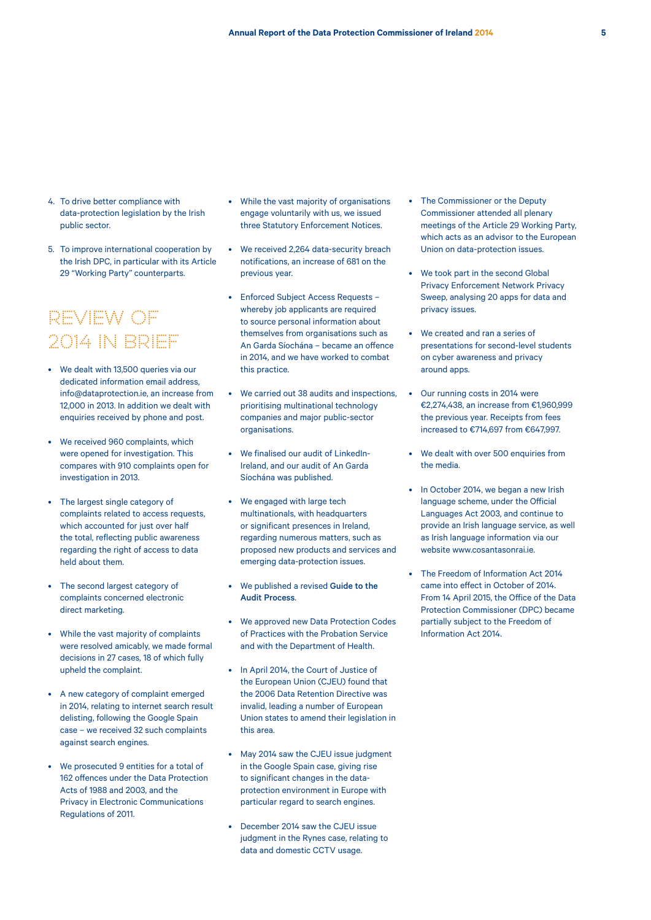- 4. To drive better compliance with data-protection legislation by the Irish public sector.
- 5. To improve international cooperation by the Irish DPC, in particular with its Article 29 "Working Party" counterparts.

## REVIEW OF 2014 IN BRIEF

- We dealt with 13,500 queries via our dedicated information email address, info@dataprotection.ie, an increase from 12,000 in 2013. In addition we dealt with enquiries received by phone and post.
- We received 960 complaints, which were opened for investigation. This compares with 910 complaints open for investigation in 2013.
- The largest single category of complaints related to access requests, which accounted for just over half the total, reflecting public awareness regarding the right of access to data held about them.
- The second largest category of complaints concerned electronic direct marketing.
- While the vast majority of complaints were resolved amicably, we made formal decisions in 27 cases, 18 of which fully upheld the complaint.
- A new category of complaint emerged in 2014, relating to internet search result delisting, following the Google Spain case – we received 32 such complaints against search engines.
- We prosecuted 9 entities for a total of 162 offences under the Data Protection Acts of 1988 and 2003, and the Privacy in Electronic Communications Regulations of 2011.
- While the vast majority of organisations engage voluntarily with us, we issued three Statutory Enforcement Notices.
- We received 2,264 data-security breach notifications, an increase of 681 on the previous year.
- Enforced Subject Access Requests whereby job applicants are required to source personal information about themselves from organisations such as An Garda Síochána – became an offence in 2014, and we have worked to combat this practice.
- We carried out 38 audits and inspections, prioritising multinational technology companies and major public-sector organisations.
- We finalised our audit of LinkedIn-Ireland, and our audit of An Garda Síochána was published.
- We engaged with large tech multinationals, with headquarters or significant presences in Ireland, regarding numerous matters, such as proposed new products and services and emerging data-protection issues.
- We published a revised Guide to the Audit Process.
- We approved new Data Protection Codes of Practices with the Probation Service and with the Department of Health.
- In April 2014, the Court of Justice of the European Union (CJEU) found that the 2006 Data Retention Directive was invalid, leading a number of European Union states to amend their legislation in this area.
- May 2014 saw the CJEU issue judgment in the Google Spain case, giving rise to significant changes in the dataprotection environment in Europe with particular regard to search engines.
- December 2014 saw the CJEU issue judgment in the Rynes case, relating to data and domestic CCTV usage.
- The Commissioner or the Deputy Commissioner attended all plenary meetings of the Article 29 Working Party, which acts as an advisor to the European Union on data-protection issues.
- We took part in the second Global Privacy Enforcement Network Privacy Sweep, analysing 20 apps for data and privacy issues.
- We created and ran a series of presentations for second-level students on cyber awareness and privacy around apps.
- Our running costs in 2014 were €2,274,438, an increase from €1,960,999 the previous year. Receipts from fees increased to €714,697 from €647,997.
- We dealt with over 500 enquiries from the media.
- In October 2014, we began a new Irish language scheme, under the Official Languages Act 2003, and continue to provide an Irish language service, as well as Irish language information via our website www.cosantasonrai.ie.
- The Freedom of Information Act 2014 came into effect in October of 2014. From 14 April 2015, the Office of the Data Protection Commissioner (DPC) became partially subject to the Freedom of Information Act 2014.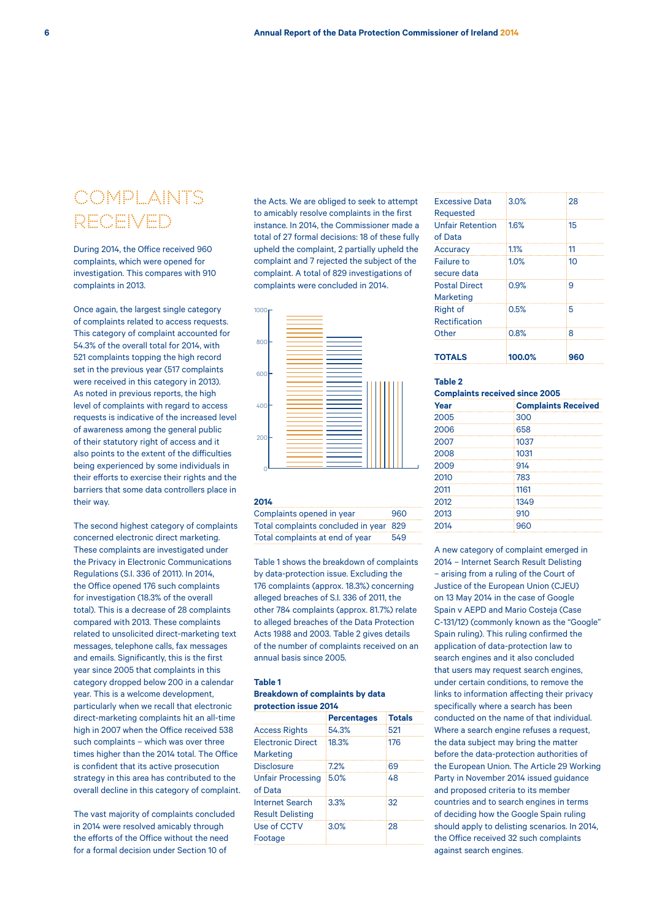## COMPLAINTS RECEIVED

During 2014, the Office received 960 complaints, which were opened for investigation. This compares with 910 complaints in 2013.

Once again, the largest single category of complaints related to access requests. This category of complaint accounted for 54.3% of the overall total for 2014, with 521 complaints topping the high record set in the previous year (517 complaints were received in this category in 2013). As noted in previous reports, the high level of complaints with regard to access requests is indicative of the increased level of awareness among the general public of their statutory right of access and it also points to the extent of the difficulties being experienced by some individuals in their efforts to exercise their rights and the barriers that some data controllers place in their way.

The second highest category of complaints concerned electronic direct marketing. These complaints are investigated under the Privacy in Electronic Communications Regulations (S.I. 336 of 2011). In 2014, the Office opened 176 such complaints for investigation (18.3% of the overall total). This is a decrease of 28 complaints compared with 2013. These complaints related to unsolicited direct-marketing text messages, telephone calls, fax messages and emails. Significantly, this is the first year since 2005 that complaints in this category dropped below 200 in a calendar year. This is a welcome development, particularly when we recall that electronic direct-marketing complaints hit an all-time high in 2007 when the Office received 538 such complaints – which was over three times higher than the 2014 total. The Office is confident that its active prosecution strategy in this area has contributed to the overall decline in this category of complaint.

The vast majority of complaints concluded in 2014 were resolved amicably through the efforts of the Office without the need for a formal decision under Section 10 of

the Acts. We are obliged to seek to attempt to amicably resolve complaints in the first instance. In 2014, the Commissioner made a total of 27 formal decisions: 18 of these fully upheld the complaint, 2 partially upheld the complaint and 7 rejected the subject of the complaint. A total of 829 investigations of complaints were concluded in 2014.



#### **2014**

Complaints opened in year 960 Total complaints concluded in year 829 Total complaints at end of year 549

Table 1 shows the breakdown of complaints by data-protection issue. Excluding the 176 complaints (approx. 18.3%) concerning alleged breaches of S.I. 336 of 2011, the other 784 complaints (approx. 81.7%) relate to alleged breaches of the Data Protection Acts 1988 and 2003. Table 2 gives details of the number of complaints received on an annual basis since 2005.

## **Table 1**

### **Breakdown of complaints by data protection issue 2014**

|                          | <b>Percentages</b> | <b>Totals</b> |
|--------------------------|--------------------|---------------|
| <b>Access Rights</b>     | 54.3%              | 521           |
| <b>Electronic Direct</b> | 18.3%              | 176           |
| Marketing                |                    |               |
| <b>Disclosure</b>        | 7.2%               | 69            |
| <b>Unfair Processing</b> | 5.0%               | 48            |
| of Data                  |                    |               |
| Internet Search          | 3.3%               | 32            |
| <b>Result Delisting</b>  |                    |               |
| Use of CCTV              | 3.0%               | 28            |
| Footage                  |                    |               |
|                          |                    |               |

| TOTALS                             | 100.0% | 960 |
|------------------------------------|--------|-----|
| Other                              | 0.8%   | 8   |
| <b>Rectification</b>               |        |     |
| <b>Right of</b>                    | 0.5%   | 5   |
| <b>Marketing</b>                   |        |     |
| <b>Postal Direct</b>               | 0.9%   | 9   |
| secure data                        |        |     |
| <b>Failure to</b>                  | 1.0%   | 10  |
| Accuracy                           | 1.1%   | 11  |
| <b>Unfair Retention</b><br>of Data | 1.6%   | 15  |
| <b>Excessive Data</b><br>Requested | 3.0%   | 28  |
|                                    |        |     |

### **Table 2**

## **Complaints received since 2005**

| Year | <b>Complaints Received</b> |
|------|----------------------------|
| 2005 | 300                        |
| 2006 | 658                        |
| 2007 | 1037                       |
| 2008 | 1031                       |
| 2009 | 914                        |
| 2010 | 783                        |
| 2011 | 1161                       |
| 2012 | 1349                       |
| 2013 | 910                        |
| 2014 | 960                        |

A new category of complaint emerged in 2014 – Internet Search Result Delisting – arising from a ruling of the Court of Justice of the European Union (CJEU) on 13 May 2014 in the case of Google Spain v AEPD and Mario Costeja (Case C-131/12) (commonly known as the "Google" Spain ruling). This ruling confirmed the application of data-protection law to search engines and it also concluded that users may request search engines, under certain conditions, to remove the links to information affecting their privacy specifically where a search has been conducted on the name of that individual. Where a search engine refuses a request, the data subject may bring the matter before the data-protection authorities of the European Union. The Article 29 Working Party in November 2014 issued guidance and proposed criteria to its member countries and to search engines in terms of deciding how the Google Spain ruling should apply to delisting scenarios. In 2014, the Office received 32 such complaints against search engines.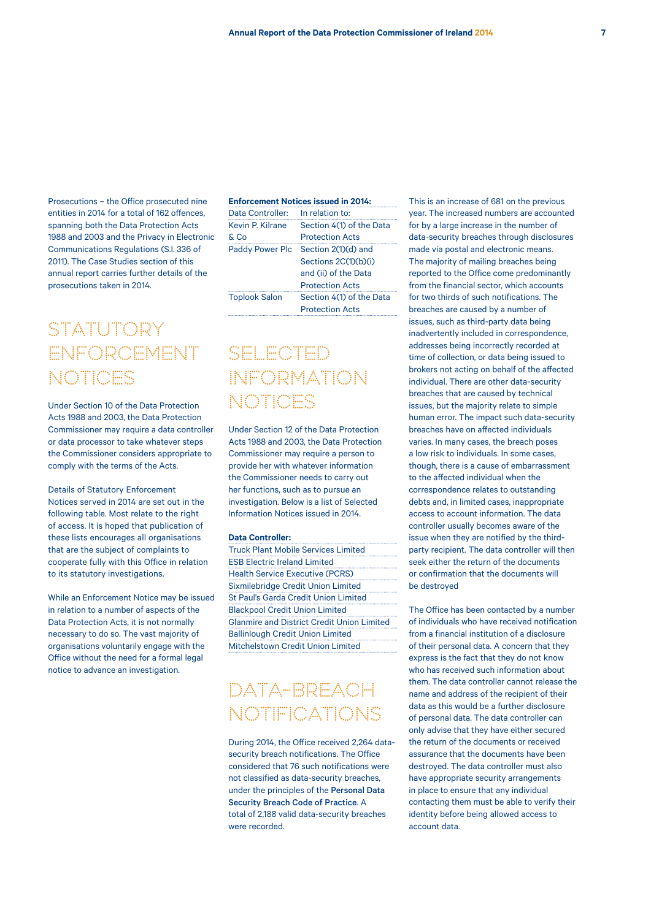Prosecutions – the Office prosecuted nine entities in 2014 for a total of 162 offences, spanning both the Data Protection Acts 1988 and 2003 and the Privacy in Electronic Communications Regulations (S.I. 336 of 2011). The Case Studies section of this annual report carries further details of the prosecutions taken in 2014.

## STATUTORY ENFORCEMENT NOTICES

Under Section 10 of the Data Protection Acts 1988 and 2003, the Data Protection Commissioner may require a data controller or data processor to take whatever steps the Commissioner considers appropriate to comply with the terms of the Acts.

Details of Statutory Enforcement Notices served in 2014 are set out in the following table. Most relate to the right of access. It is hoped that publication of these lists encourages all organisations that are the subject of complaints to cooperate fully with this Office in relation to its statutory investigations.

While an Enforcement Notice may be issued in relation to a number of aspects of the Data Protection Acts, it is not normally necessary to do so. The vast majority of organisations voluntarily engage with the Office without the need for a formal legal notice to advance an investigation.

### **Enforcement Notices issued in 2014:**

| Data Controller:       | In relation to:          |
|------------------------|--------------------------|
| Kevin P. Kilrane       | Section 4(1) of the Data |
| & Co                   | <b>Protection Acts</b>   |
| <b>Paddy Power Plc</b> | Section 2(1)(d) and      |
|                        | Sections 2C(1)(b)(i)     |
|                        | and (ii) of the Data     |
|                        | <b>Protection Acts</b>   |
| <b>Toplook Salon</b>   | Section 4(1) of the Data |
|                        | <b>Protection Acts</b>   |

SELECTED INFORMATION NOTICES

Under Section 12 of the Data Protection Acts 1988 and 2003, the Data Protection Commissioner may require a person to provide her with whatever information the Commissioner needs to carry out her functions, such as to pursue an investigation. Below is a list of Selected Information Notices issued in 2014.

## **Data Controller:**

Truck Plant Mobile Services Limited ESB Electric Ireland Limited Health Service Executive (PCRS) Sixmilebridge Credit Union Limited St Paul's Garda Credit Union Limited Blackpool Credit Union Limited Glanmire and District Credit Union Limited Ballinlough Credit Union Limited Mitchelstown Credit Union Limited

## DATA-BREACH NOTIFICATIONS

During 2014, the Office received 2,264 datasecurity breach notifications. The Office considered that 76 such notifications were not classified as data-security breaches, under the principles of the Personal Data Security Breach Code of Practice. A total of 2,188 valid data-security breaches were recorded.

This is an increase of 681 on the previous year. The increased numbers are accounted for by a large increase in the number of data-security breaches through disclosures made via postal and electronic means. The majority of mailing breaches being reported to the Office come predominantly from the financial sector, which accounts for two thirds of such notifications. The breaches are caused by a number of issues, such as third-party data being inadvertently included in correspondence, addresses being incorrectly recorded at time of collection, or data being issued to brokers not acting on behalf of the affected individual. There are other data-security breaches that are caused by technical issues, but the majority relate to simple human error. The impact such data-security breaches have on affected individuals varies. In many cases, the breach poses a low risk to individuals. In some cases, though, there is a cause of embarrassment to the affected individual when the correspondence relates to outstanding debts and, in limited cases, inappropriate access to account information. The data controller usually becomes aware of the issue when they are notified by the thirdparty recipient. The data controller will then seek either the return of the documents or confirmation that the documents will be destroyed

The Office has been contacted by a number of individuals who have received notification from a financial institution of a disclosure of their personal data. A concern that they express is the fact that they do not know who has received such information about them. The data controller cannot release the name and address of the recipient of their data as this would be a further disclosure of personal data. The data controller can only advise that they have either secured the return of the documents or received assurance that the documents have been destroyed. The data controller must also have appropriate security arrangements in place to ensure that any individual contacting them must be able to verify their identity before being allowed access to account data.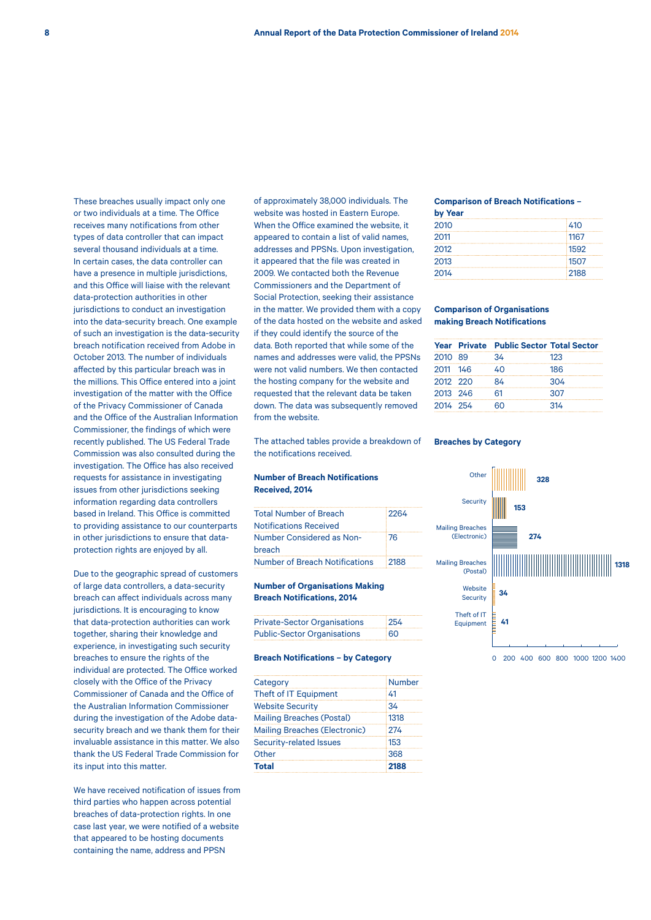These breaches usually impact only one or two individuals at a time. The Office receives many notifications from other types of data controller that can impact several thousand individuals at a time. In certain cases, the data controller can have a presence in multiple jurisdictions, and this Office will liaise with the relevant data-protection authorities in other jurisdictions to conduct an investigation into the data-security breach. One example of such an investigation is the data-security breach notification received from Adobe in October 2013. The number of individuals affected by this particular breach was in the millions. This Office entered into a joint investigation of the matter with the Office of the Privacy Commissioner of Canada and the Office of the Australian Information Commissioner, the findings of which were recently published. The US Federal Trade Commission was also consulted during the investigation. The Office has also received requests for assistance in investigating issues from other jurisdictions seeking information regarding data controllers based in Ireland. This Office is committed to providing assistance to our counterparts in other jurisdictions to ensure that dataprotection rights are enjoyed by all.

Due to the geographic spread of customers of large data controllers, a data-security breach can affect individuals across many jurisdictions. It is encouraging to know that data-protection authorities can work together, sharing their knowledge and experience, in investigating such security breaches to ensure the rights of the individual are protected. The Office worked closely with the Office of the Privacy Commissioner of Canada and the Office of the Australian Information Commissioner during the investigation of the Adobe datasecurity breach and we thank them for their invaluable assistance in this matter. We also thank the US Federal Trade Commission for its input into this matter.

We have received notification of issues from third parties who happen across potential breaches of data-protection rights. In one case last year, we were notified of a website that appeared to be hosting documents containing the name, address and PPSN

of approximately 38,000 individuals. The website was hosted in Eastern Europe. When the Office examined the website, it appeared to contain a list of valid names, addresses and PPSNs. Upon investigation, it appeared that the file was created in 2009. We contacted both the Revenue Commissioners and the Department of Social Protection, seeking their assistance in the matter. We provided them with a copy of the data hosted on the website and asked if they could identify the source of the data. Both reported that while some of the names and addresses were valid, the PPSNs were not valid numbers. We then contacted the hosting company for the website and requested that the relevant data be taken down. The data was subsequently removed from the website.

The attached tables provide a breakdown of the notifications received.

### **Number of Breach Notifications Received, 2014**

| 2264 |
|------|
|      |
| 76   |
|      |
| 2188 |
|      |

## **Number of Organisations Making Breach Notifications, 2014**

| <b>Private-Sector Organisations</b> | 254 |
|-------------------------------------|-----|
| <b>Public-Sector Organisations</b>  | 160 |

#### **Breach Notifications – by Category**

| Category                             | <b>Number</b> |
|--------------------------------------|---------------|
| Theft of IT Equipment                | 41            |
| <b>Website Security</b>              | 34            |
| <b>Mailing Breaches (Postal)</b>     | 1318          |
| <b>Mailing Breaches (Electronic)</b> | 274           |
| Security-related Issues              | 153           |
| Other                                | 368           |
| <b>Total</b>                         | 2188          |

## **Comparison of Breach Notifications –**

| by Year |      |
|---------|------|
| 2010    | 410  |
| 2011    | 1167 |
| 2012    | 1592 |
| 2013    | 1507 |
| 2014    | 2188 |

### **Comparison of Organisations making Breach Notifications**

|          | <b>Year Private Public Sector Total Sector</b> |     |
|----------|------------------------------------------------|-----|
| 2010 89  | 34                                             | 123 |
| 2011 146 | 40                                             | 186 |
| 2012 220 | 84                                             | 304 |
| 2013 246 | 61                                             | 307 |
| 2014 254 | 60                                             | 314 |

### **Breaches by Category**

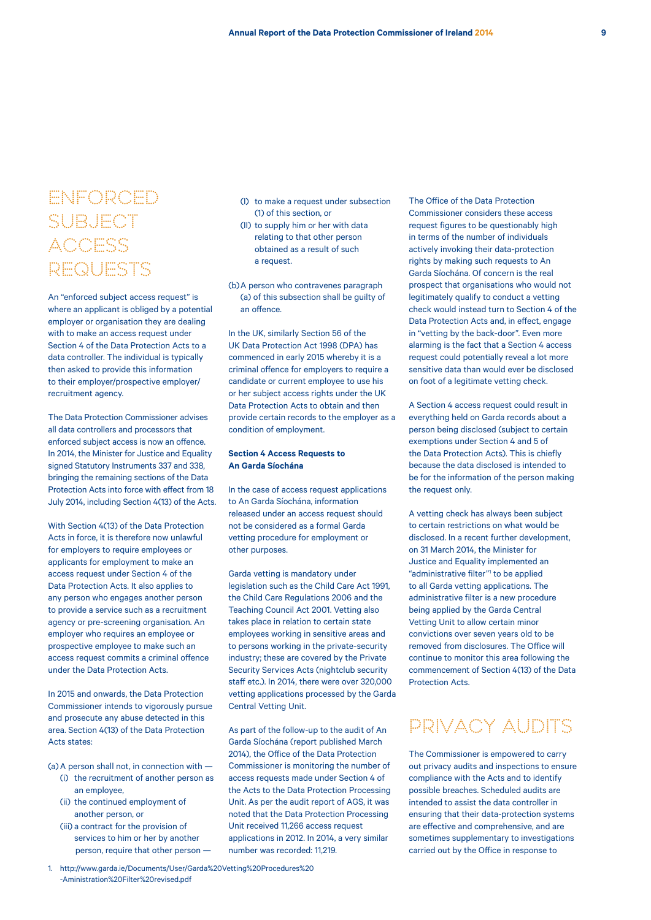## ENFORCED SUBJECT **ACCESS** REQUESTS

An "enforced subject access request" is where an applicant is obliged by a potential employer or organisation they are dealing with to make an access request under Section 4 of the Data Protection Acts to a data controller. The individual is typically then asked to provide this information to their employer/prospective employer/ recruitment agency.

The Data Protection Commissioner advises all data controllers and processors that enforced subject access is now an offence. In 2014, the Minister for Justice and Equality signed Statutory Instruments 337 and 338, bringing the remaining sections of the Data Protection Acts into force with effect from 18 July 2014, including Section 4(13) of the Acts.

With Section 4(13) of the Data Protection Acts in force, it is therefore now unlawful for employers to require employees or applicants for employment to make an access request under Section 4 of the Data Protection Acts. It also applies to any person who engages another person to provide a service such as a recruitment agency or pre-screening organisation. An employer who requires an employee or prospective employee to make such an access request commits a criminal offence under the Data Protection Acts.

In 2015 and onwards, the Data Protection Commissioner intends to vigorously pursue and prosecute any abuse detected in this area. Section 4(13) of the Data Protection Acts states:

(a)A person shall not, in connection with —

- (i) the recruitment of another person as an employee,
- (ii) the continued employment of another person, or
- (iii) a contract for the provision of services to him or her by another person, require that other person —
- 1. http://www.garda.ie/Documents/User/Garda%20Vetting%20Procedures%20 -Aministration%20Filter%20revised.pdf
- (I) to make a request under subsection (1) of this section, or
- (II) to supply him or her with data relating to that other person obtained as a result of such a request.

(b)A person who contravenes paragraph (a) of this subsection shall be guilty of an offence.

In the UK, similarly Section 56 of the UK Data Protection Act 1998 (DPA) has commenced in early 2015 whereby it is a criminal offence for employers to require a candidate or current employee to use his or her subject access rights under the UK Data Protection Acts to obtain and then provide certain records to the employer as a condition of employment.

## **Section 4 Access Requests to An Garda Síochána**

In the case of access request applications to An Garda Síochána, information released under an access request should not be considered as a formal Garda vetting procedure for employment or other purposes.

Garda vetting is mandatory under legislation such as the Child Care Act 1991, the Child Care Regulations 2006 and the Teaching Council Act 2001. Vetting also takes place in relation to certain state employees working in sensitive areas and to persons working in the private-security industry; these are covered by the Private Security Services Acts (nightclub security staff etc.). In 2014, there were over 320,000 vetting applications processed by the Garda Central Vetting Unit.

As part of the follow-up to the audit of An Garda Síochána (report published March 2014), the Office of the Data Protection Commissioner is monitoring the number of access requests made under Section 4 of the Acts to the Data Protection Processing Unit. As per the audit report of AGS, it was noted that the Data Protection Processing Unit received 11,266 access request applications in 2012. In 2014, a very similar number was recorded: 11,219.

The Office of the Data Protection Commissioner considers these access request figures to be questionably high in terms of the number of individuals actively invoking their data-protection rights by making such requests to An Garda Síochána. Of concern is the real prospect that organisations who would not legitimately qualify to conduct a vetting check would instead turn to Section 4 of the Data Protection Acts and, in effect, engage in "vetting by the back-door". Even more alarming is the fact that a Section 4 access request could potentially reveal a lot more sensitive data than would ever be disclosed on foot of a legitimate vetting check.

A Section 4 access request could result in everything held on Garda records about a person being disclosed (subject to certain exemptions under Section 4 and 5 of the Data Protection Acts). This is chiefly because the data disclosed is intended to be for the information of the person making the request only.

A vetting check has always been subject to certain restrictions on what would be disclosed. In a recent further development, on 31 March 2014, the Minister for Justice and Equality implemented an "administrative filter"<sup>1</sup> to be applied to all Garda vetting applications. The administrative filter is a new procedure being applied by the Garda Central Vetting Unit to allow certain minor convictions over seven years old to be removed from disclosures. The Office will continue to monitor this area following the commencement of Section 4(13) of the Data Protection Acts.

## PRIVACY AUDITS

The Commissioner is empowered to carry out privacy audits and inspections to ensure compliance with the Acts and to identify possible breaches. Scheduled audits are intended to assist the data controller in ensuring that their data-protection systems are effective and comprehensive, and are sometimes supplementary to investigations carried out by the Office in response to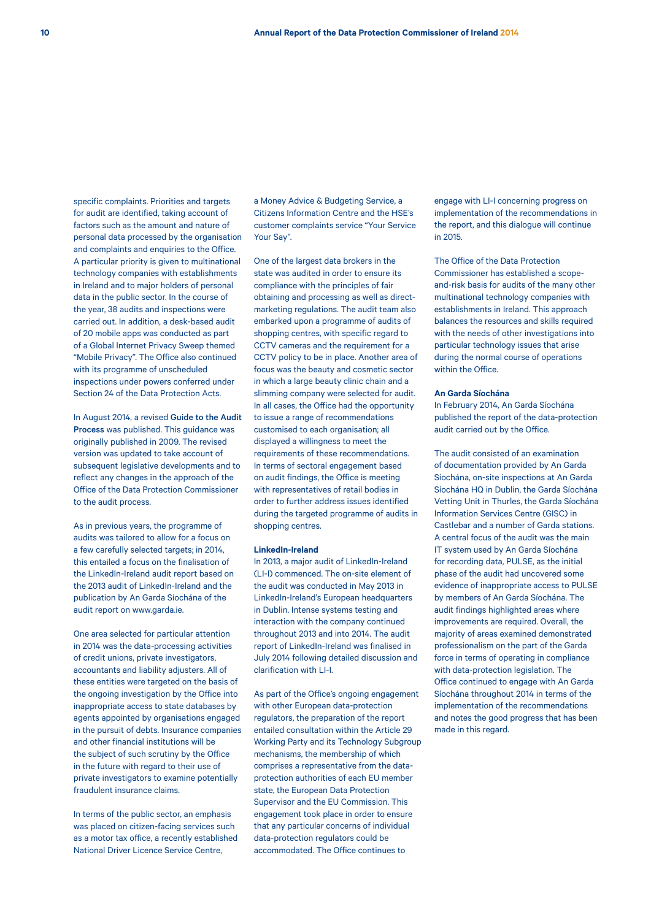specific complaints. Priorities and targets for audit are identified, taking account of factors such as the amount and nature of personal data processed by the organisation and complaints and enquiries to the Office. A particular priority is given to multinational technology companies with establishments in Ireland and to major holders of personal data in the public sector. In the course of the year, 38 audits and inspections were carried out. In addition, a desk-based audit of 20 mobile apps was conducted as part of a Global Internet Privacy Sweep themed "Mobile Privacy". The Office also continued with its programme of unscheduled inspections under powers conferred under Section 24 of the Data Protection Acts.

In August 2014, a revised Guide to the Audit Process was published. This guidance was originally published in 2009. The revised version was updated to take account of subsequent legislative developments and to reflect any changes in the approach of the Office of the Data Protection Commissioner to the audit process.

As in previous years, the programme of audits was tailored to allow for a focus on a few carefully selected targets; in 2014, this entailed a focus on the finalisation of the LinkedIn-Ireland audit report based on the 2013 audit of LinkedIn-Ireland and the publication by An Garda Síochána of the audit report on www.garda.ie.

One area selected for particular attention in 2014 was the data-processing activities of credit unions, private investigators, accountants and liability adjusters. All of these entities were targeted on the basis of the ongoing investigation by the Office into inappropriate access to state databases by agents appointed by organisations engaged in the pursuit of debts. Insurance companies and other financial institutions will be the subject of such scrutiny by the Office in the future with regard to their use of private investigators to examine potentially fraudulent insurance claims.

In terms of the public sector, an emphasis was placed on citizen-facing services such as a motor tax office, a recently established National Driver Licence Service Centre,

a Money Advice & Budgeting Service, a Citizens Information Centre and the HSE's customer complaints service "Your Service Your Say".

One of the largest data brokers in the state was audited in order to ensure its compliance with the principles of fair obtaining and processing as well as directmarketing regulations. The audit team also embarked upon a programme of audits of shopping centres, with specific regard to CCTV cameras and the requirement for a CCTV policy to be in place. Another area of focus was the beauty and cosmetic sector in which a large beauty clinic chain and a slimming company were selected for audit. In all cases, the Office had the opportunity to issue a range of recommendations customised to each organisation; all displayed a willingness to meet the requirements of these recommendations. In terms of sectoral engagement based on audit findings, the Office is meeting with representatives of retail bodies in order to further address issues identified during the targeted programme of audits in shopping centres.

#### **LinkedIn-Ireland**

In 2013, a major audit of LinkedIn-Ireland (LI-I) commenced. The on-site element of the audit was conducted in May 2013 in LinkedIn-Ireland's European headquarters in Dublin. Intense systems testing and interaction with the company continued throughout 2013 and into 2014. The audit report of LinkedIn-Ireland was finalised in July 2014 following detailed discussion and clarification with LI-I.

As part of the Office's ongoing engagement with other European data-protection regulators, the preparation of the report entailed consultation within the Article 29 Working Party and its Technology Subgroup mechanisms, the membership of which comprises a representative from the dataprotection authorities of each EU member state, the European Data Protection Supervisor and the EU Commission. This engagement took place in order to ensure that any particular concerns of individual data-protection regulators could be accommodated. The Office continues to

engage with LI-I concerning progress on implementation of the recommendations in the report, and this dialogue will continue in 2015.

The Office of the Data Protection Commissioner has established a scopeand-risk basis for audits of the many other multinational technology companies with establishments in Ireland. This approach balances the resources and skills required with the needs of other investigations into particular technology issues that arise during the normal course of operations within the Office.

## **An Garda Síochána**

In February 2014, An Garda Síochána published the report of the data-protection audit carried out by the Office.

The audit consisted of an examination of documentation provided by An Garda Síochána, on-site inspections at An Garda Síochána HQ in Dublin, the Garda Síochána Vetting Unit in Thurles, the Garda Síochána Information Services Centre (GISC) in Castlebar and a number of Garda stations. A central focus of the audit was the main IT system used by An Garda Síochána for recording data, PULSE, as the initial phase of the audit had uncovered some evidence of inappropriate access to PULSE by members of An Garda Síochána. The audit findings highlighted areas where improvements are required. Overall, the majority of areas examined demonstrated professionalism on the part of the Garda force in terms of operating in compliance with data-protection legislation. The Office continued to engage with An Garda Síochána throughout 2014 in terms of the implementation of the recommendations and notes the good progress that has been made in this regard.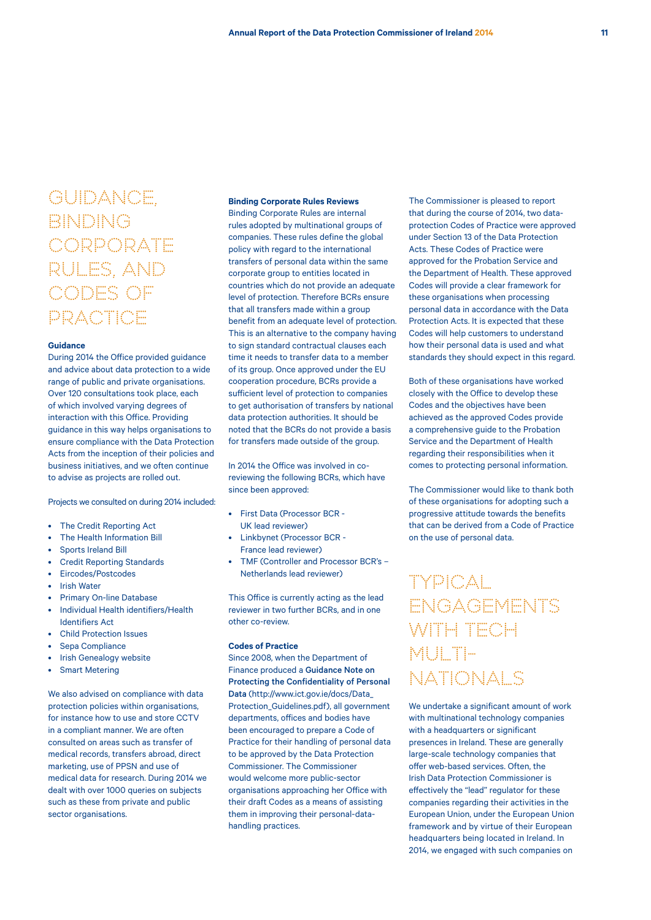# **GUIDANCE** BINDING **CORPORATE** RULES, AND CODES OF PRACTICE

#### **Guidance**

During 2014 the Office provided guidance and advice about data protection to a wide range of public and private organisations. Over 120 consultations took place, each of which involved varying degrees of interaction with this Office. Providing guidance in this way helps organisations to ensure compliance with the Data Protection Acts from the inception of their policies and business initiatives, and we often continue to advise as projects are rolled out.

Projects we consulted on during 2014 included:

- The Credit Reporting Act
- The Health Information Bill
- Sports Ireland Bill
- Credit Reporting Standards
- Eircodes/Postcodes
- **Irish Water**
- Primary On-line Database
- Individual Health identifiers/Health Identifiers Act
- Child Protection Issues
- Sepa Compliance
- **Irish Genealogy website**
- **Smart Metering**

We also advised on compliance with data protection policies within organisations, for instance how to use and store CCTV in a compliant manner. We are often consulted on areas such as transfer of medical records, transfers abroad, direct marketing, use of PPSN and use of medical data for research. During 2014 we dealt with over 1000 queries on subjects such as these from private and public sector organisations.

#### **Binding Corporate Rules Reviews**

Binding Corporate Rules are internal rules adopted by multinational groups of companies. These rules define the global policy with regard to the international transfers of personal data within the same corporate group to entities located in countries which do not provide an adequate level of protection. Therefore BCRs ensure that all transfers made within a group benefit from an adequate level of protection. This is an alternative to the company having to sign standard contractual clauses each time it needs to transfer data to a member of its group. Once approved under the EU cooperation procedure, BCRs provide a sufficient level of protection to companies to get authorisation of transfers by national data protection authorities. It should be noted that the BCRs do not provide a basis for transfers made outside of the group.

In 2014 the Office was involved in coreviewing the following BCRs, which have since been approved:

- First Data (Processor BCR UK lead reviewer)
- Linkbynet (Processor BCR France lead reviewer)
- TMF (Controller and Processor BCR's Netherlands lead reviewer)

This Office is currently acting as the lead reviewer in two further BCRs, and in one other co-review.

#### **Codes of Practice**

Since 2008, when the Department of Finance produced a Guidance Note on Protecting the Confidentiality of Personal Data (http://www.ict.gov.ie/docs/Data\_ Protection\_Guidelines.pdf), all government departments, offices and bodies have been encouraged to prepare a Code of Practice for their handling of personal data to be approved by the Data Protection Commissioner. The Commissioner would welcome more public-sector organisations approaching her Office with their draft Codes as a means of assisting them in improving their personal-datahandling practices.

The Commissioner is pleased to report that during the course of 2014, two dataprotection Codes of Practice were approved under Section 13 of the Data Protection Acts. These Codes of Practice were approved for the Probation Service and the Department of Health. These approved Codes will provide a clear framework for these organisations when processing personal data in accordance with the Data Protection Acts. It is expected that these Codes will help customers to understand how their personal data is used and what standards they should expect in this regard.

Both of these organisations have worked closely with the Office to develop these Codes and the objectives have been achieved as the approved Codes provide a comprehensive guide to the Probation Service and the Department of Health regarding their responsibilities when it comes to protecting personal information.

The Commissioner would like to thank both of these organisations for adopting such a progressive attitude towards the benefits that can be derived from a Code of Practice on the use of personal data.

# TYPICAL ENGAGEMENTS WITH TECH MULTI-NATIONALS

We undertake a significant amount of work with multinational technology companies with a headquarters or significant presences in Ireland. These are generally large-scale technology companies that offer web-based services. Often, the Irish Data Protection Commissioner is effectively the "lead" regulator for these companies regarding their activities in the European Union, under the European Union framework and by virtue of their European headquarters being located in Ireland. In 2014, we engaged with such companies on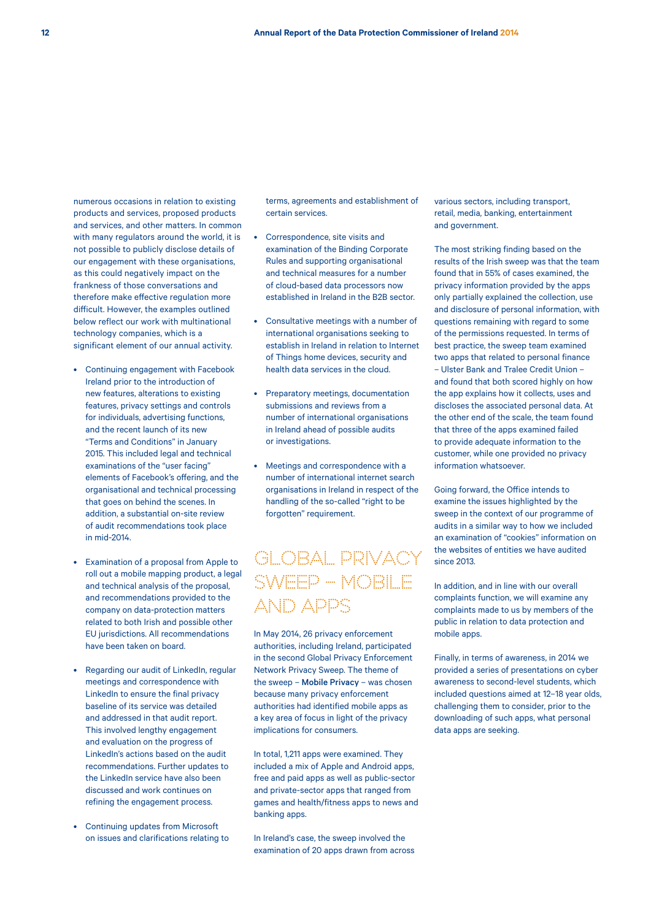numerous occasions in relation to existing products and services, proposed products and services, and other matters. In common with many regulators around the world, it is not possible to publicly disclose details of our engagement with these organisations, as this could negatively impact on the frankness of those conversations and therefore make effective regulation more difficult. However, the examples outlined below reflect our work with multinational technology companies, which is a significant element of our annual activity.

- Continuing engagement with Facebook Ireland prior to the introduction of new features, alterations to existing features, privacy settings and controls for individuals, advertising functions, and the recent launch of its new "Terms and Conditions" in January 2015. This included legal and technical examinations of the "user facing" elements of Facebook's offering, and the organisational and technical processing that goes on behind the scenes. In addition, a substantial on-site review of audit recommendations took place in mid-2014.
- Examination of a proposal from Apple to roll out a mobile mapping product, a legal and technical analysis of the proposal, and recommendations provided to the company on data-protection matters related to both Irish and possible other EU jurisdictions. All recommendations have been taken on board.
- Regarding our audit of LinkedIn, regular meetings and correspondence with LinkedIn to ensure the final privacy baseline of its service was detailed and addressed in that audit report. This involved lengthy engagement and evaluation on the progress of LinkedIn's actions based on the audit recommendations. Further updates to the LinkedIn service have also been discussed and work continues on refining the engagement process.
- Continuing updates from Microsoft on issues and clarifications relating to

terms, agreements and establishment of certain services.

- Correspondence, site visits and examination of the Binding Corporate Rules and supporting organisational and technical measures for a number of cloud-based data processors now established in Ireland in the B2B sector.
- Consultative meetings with a number of international organisations seeking to establish in Ireland in relation to Internet of Things home devices, security and health data services in the cloud.
- Preparatory meetings, documentation submissions and reviews from a number of international organisations in Ireland ahead of possible audits or investigations.
- Meetings and correspondence with a number of international internet search organisations in Ireland in respect of the handling of the so-called "right to be forgotten" requirement.

## GLOBAL PRIVACY SWEEP – MOBILE AND APPS

In May 2014, 26 privacy enforcement authorities, including Ireland, participated in the second Global Privacy Enforcement Network Privacy Sweep. The theme of the sweep – Mobile Privacy – was chosen because many privacy enforcement authorities had identified mobile apps as a key area of focus in light of the privacy implications for consumers.

In total, 1,211 apps were examined. They included a mix of Apple and Android apps, free and paid apps as well as public-sector and private-sector apps that ranged from games and health/fitness apps to news and banking apps.

In Ireland's case, the sweep involved the examination of 20 apps drawn from across various sectors, including transport, retail, media, banking, entertainment and government.

The most striking finding based on the results of the Irish sweep was that the team found that in 55% of cases examined, the privacy information provided by the apps only partially explained the collection, use and disclosure of personal information, with questions remaining with regard to some of the permissions requested. In terms of best practice, the sweep team examined two apps that related to personal finance – Ulster Bank and Tralee Credit Union – and found that both scored highly on how the app explains how it collects, uses and discloses the associated personal data. At the other end of the scale, the team found that three of the apps examined failed to provide adequate information to the customer, while one provided no privacy information whatsoever.

Going forward, the Office intends to examine the issues highlighted by the sweep in the context of our programme of audits in a similar way to how we included an examination of "cookies" information on the websites of entities we have audited since 2013.

In addition, and in line with our overall complaints function, we will examine any complaints made to us by members of the public in relation to data protection and mobile apps.

Finally, in terms of awareness, in 2014 we provided a series of presentations on cyber awareness to second-level students, which included questions aimed at 12–18 year olds, challenging them to consider, prior to the downloading of such apps, what personal data apps are seeking.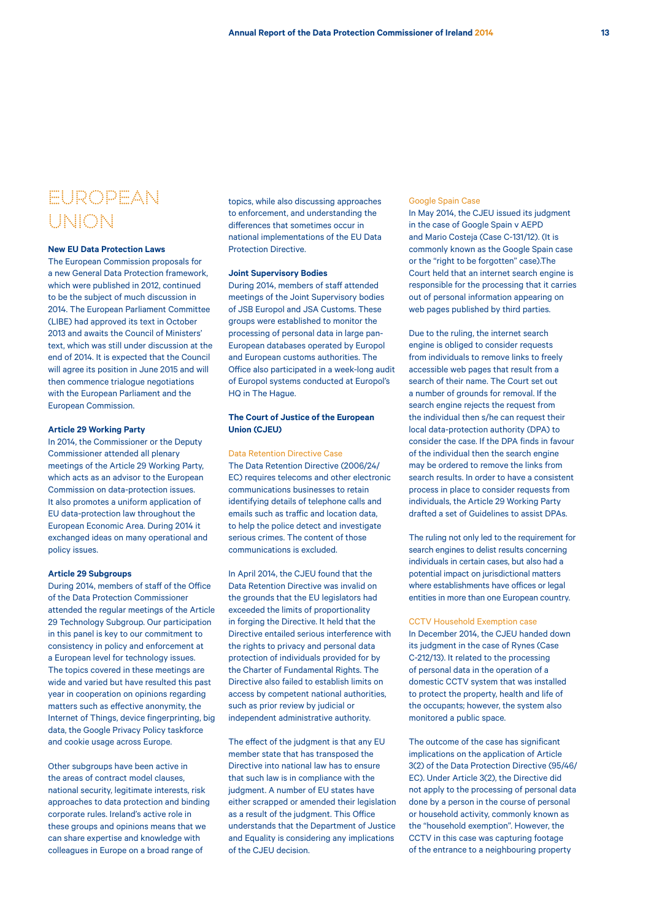## EUROPEAN UNION

## **New EU Data Protection Laws**

The European Commission proposals for a new General Data Protection framework, which were published in 2012, continued to be the subject of much discussion in 2014. The European Parliament Committee (LIBE) had approved its text in October 2013 and awaits the Council of Ministers' text, which was still under discussion at the end of 2014. It is expected that the Council will agree its position in June 2015 and will then commence trialogue negotiations with the European Parliament and the European Commission.

### **Article 29 Working Party**

In 2014, the Commissioner or the Deputy Commissioner attended all plenary meetings of the Article 29 Working Party, which acts as an advisor to the European Commission on data-protection issues. It also promotes a uniform application of EU data-protection law throughout the European Economic Area. During 2014 it exchanged ideas on many operational and policy issues.

#### **Article 29 Subgroups**

During 2014, members of staff of the Office of the Data Protection Commissioner attended the regular meetings of the Article 29 Technology Subgroup. Our participation in this panel is key to our commitment to consistency in policy and enforcement at a European level for technology issues. The topics covered in these meetings are wide and varied but have resulted this past year in cooperation on opinions regarding matters such as effective anonymity, the Internet of Things, device fingerprinting, big data, the Google Privacy Policy taskforce and cookie usage across Europe.

Other subgroups have been active in the areas of contract model clauses, national security, legitimate interests, risk approaches to data protection and binding corporate rules. Ireland's active role in these groups and opinions means that we can share expertise and knowledge with colleagues in Europe on a broad range of

topics, while also discussing approaches to enforcement, and understanding the differences that sometimes occur in national implementations of the EU Data Protection Directive.

#### **Joint Supervisory Bodies**

During 2014, members of staff attended meetings of the Joint Supervisory bodies of JSB Europol and JSA Customs. These groups were established to monitor the processing of personal data in large pan-European databases operated by Europol and European customs authorities. The Office also participated in a week-long audit of Europol systems conducted at Europol's HQ in The Hague.

## **The Court of Justice of the European Union (CJEU)**

#### Data Retention Directive Case

The Data Retention Directive (2006/24/ EC) requires telecoms and other electronic communications businesses to retain identifying details of telephone calls and emails such as traffic and location data, to help the police detect and investigate serious crimes. The content of those communications is excluded.

In April 2014, the CJEU found that the Data Retention Directive was invalid on the grounds that the EU legislators had exceeded the limits of proportionality in forging the Directive. It held that the Directive entailed serious interference with the rights to privacy and personal data protection of individuals provided for by the Charter of Fundamental Rights. The Directive also failed to establish limits on access by competent national authorities, such as prior review by judicial or independent administrative authority.

The effect of the judgment is that any EU member state that has transposed the Directive into national law has to ensure that such law is in compliance with the judgment. A number of EU states have either scrapped or amended their legislation as a result of the judgment. This Office understands that the Department of Justice and Equality is considering any implications of the CJEU decision.

#### Google Spain Case

In May 2014, the CJEU issued its judgment in the case of Google Spain v AEPD and Mario Costeja (Case C-131/12). (It is commonly known as the Google Spain case or the "right to be forgotten" case).The Court held that an internet search engine is responsible for the processing that it carries out of personal information appearing on web pages published by third parties.

Due to the ruling, the internet search engine is obliged to consider requests from individuals to remove links to freely accessible web pages that result from a search of their name. The Court set out a number of grounds for removal. If the search engine rejects the request from the individual then s/he can request their local data-protection authority (DPA) to consider the case. If the DPA finds in favour of the individual then the search engine may be ordered to remove the links from search results. In order to have a consistent process in place to consider requests from individuals, the Article 29 Working Party drafted a set of Guidelines to assist DPAs.

The ruling not only led to the requirement for search engines to delist results concerning individuals in certain cases, but also had a potential impact on jurisdictional matters where establishments have offices or legal entities in more than one European country.

CCTV Household Exemption case In December 2014, the CJEU handed down its judgment in the case of Rynes (Case C-212/13). It related to the processing of personal data in the operation of a domestic CCTV system that was installed to protect the property, health and life of the occupants; however, the system also monitored a public space.

The outcome of the case has significant implications on the application of Article 3(2) of the Data Protection Directive (95/46/ EC). Under Article 3(2), the Directive did not apply to the processing of personal data done by a person in the course of personal or household activity, commonly known as the "household exemption". However, the CCTV in this case was capturing footage of the entrance to a neighbouring property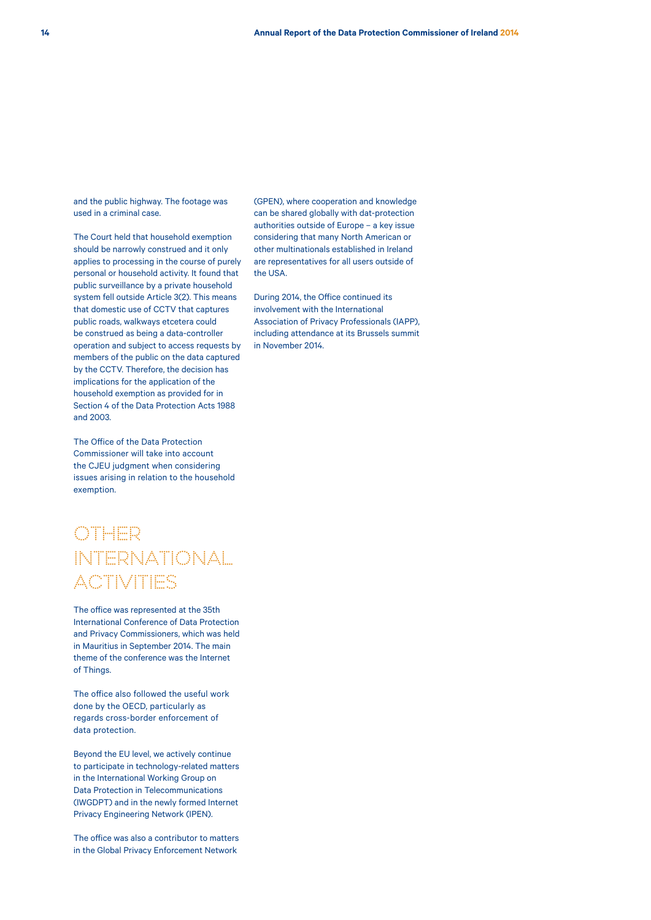and the public highway. The footage was used in a criminal case.

The Court held that household exemption should be narrowly construed and it only applies to processing in the course of purely personal or household activity. It found that public surveillance by a private household system fell outside Article 3(2). This means that domestic use of CCTV that captures public roads, walkways etcetera could be construed as being a data-controller operation and subject to access requests by members of the public on the data captured by the CCTV. Therefore, the decision has implications for the application of the household exemption as provided for in Section 4 of the Data Protection Acts 1988 and 2003.

The Office of the Data Protection Commissioner will take into account the CJEU judgment when considering issues arising in relation to the household exemption.

## OTHER INTERNATIONAL ACTIVITIES

The office was represented at the 35th International Conference of Data Protection and Privacy Commissioners, which was held in Mauritius in September 2014. The main theme of the conference was the Internet of Things.

The office also followed the useful work done by the OECD, particularly as regards cross-border enforcement of data protection.

Beyond the EU level, we actively continue to participate in technology-related matters in the International Working Group on Data Protection in Telecommunications (IWGDPT) and in the newly formed Internet Privacy Engineering Network (IPEN).

The office was also a contributor to matters in the Global Privacy Enforcement Network

(GPEN), where cooperation and knowledge can be shared globally with dat-protection authorities outside of Europe – a key issue considering that many North American or other multinationals established in Ireland are representatives for all users outside of the USA.

During 2014, the Office continued its involvement with the International Association of Privacy Professionals (IAPP), including attendance at its Brussels summit in November 2014.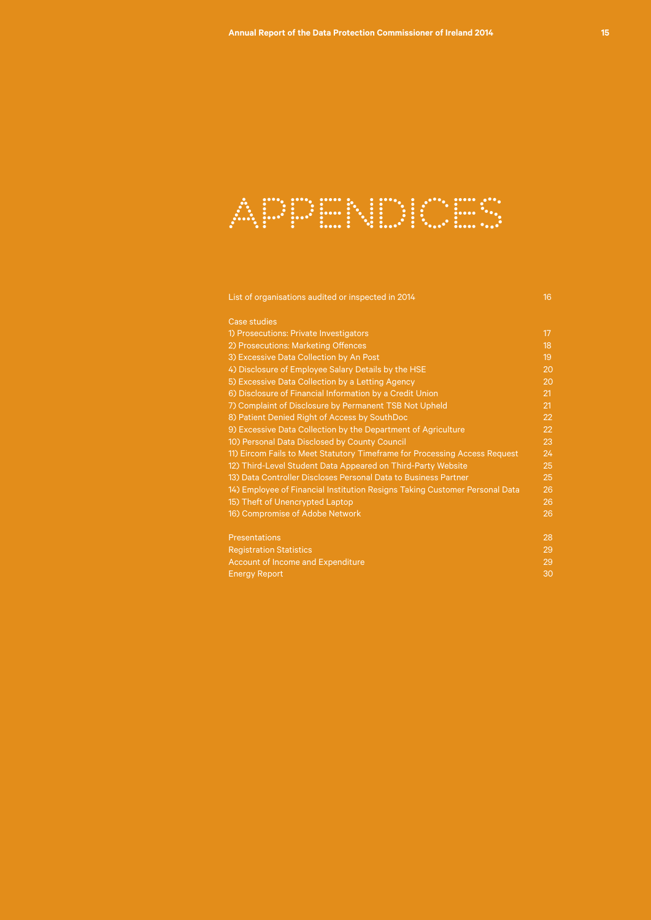

List of organisations audited or inspected in 2014 16 and 10 and 10 and 16 and 16 and 16 and 16 and 16 and 16

| <b>Case studies</b>                                                         |    |
|-----------------------------------------------------------------------------|----|
| 1) Prosecutions: Private Investigators                                      | 17 |
| 2) Prosecutions: Marketing Offences                                         | 18 |
| 3) Excessive Data Collection by An Post                                     | 19 |
| 4) Disclosure of Employee Salary Details by the HSE                         | 20 |
| 5) Excessive Data Collection by a Letting Agency                            | 20 |
| 6) Disclosure of Financial Information by a Credit Union                    | 21 |
| 7) Complaint of Disclosure by Permanent TSB Not Upheld                      | 21 |
| 8) Patient Denied Right of Access by SouthDoc                               | 22 |
| 9) Excessive Data Collection by the Department of Agriculture               | 22 |
| 10) Personal Data Disclosed by County Council                               | 23 |
| 11) Eircom Fails to Meet Statutory Timeframe for Processing Access Request  | 24 |
| 12) Third-Level Student Data Appeared on Third-Party Website                | 25 |
| 13) Data Controller Discloses Personal Data to Business Partner             | 25 |
| 14) Employee of Financial Institution Resigns Taking Customer Personal Data | 26 |
| 15) Theft of Unencrypted Laptop                                             | 26 |
| 16) Compromise of Adobe Network                                             | 26 |
| <b>Presentations</b>                                                        | 28 |
| <b>Registration Statistics</b>                                              | 29 |
| Account of Income and Expenditure                                           | 29 |
| <b>Energy Report</b>                                                        | 30 |
|                                                                             |    |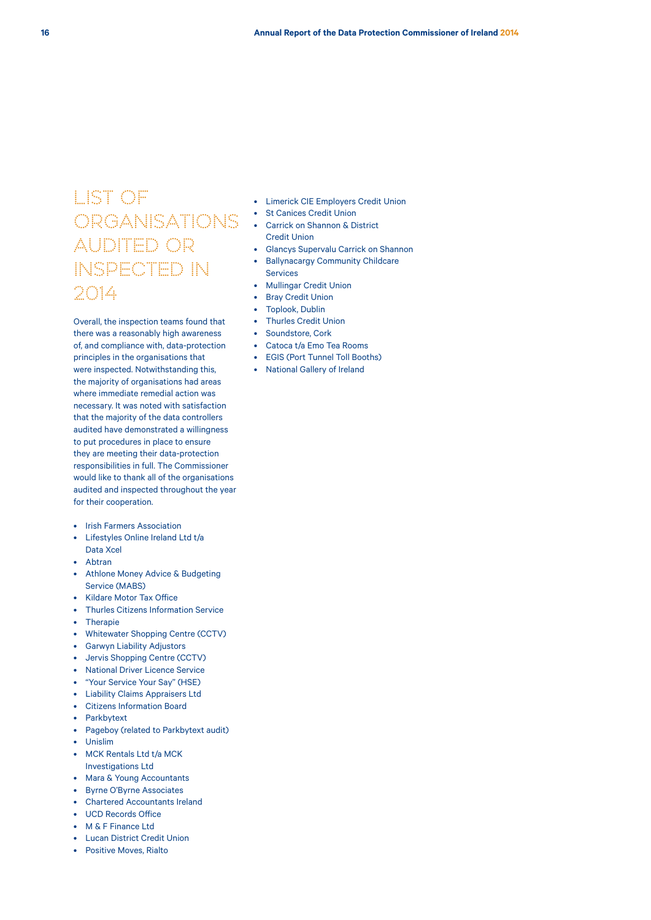# LIST OF ORGANISATIONS AUDITED OR INSPECTED IN 2014

Overall, the inspection teams found that there was a reasonably high awareness of, and compliance with, data-protection principles in the organisations that were inspected. Notwithstanding this, the majority of organisations had areas where immediate remedial action was necessary. It was noted with satisfaction that the majority of the data controllers audited have demonstrated a willingness to put procedures in place to ensure they are meeting their data-protection responsibilities in full. The Commissioner would like to thank all of the organisations audited and inspected throughout the year for their cooperation.

- Irish Farmers Association
- Lifestyles Online Ireland Ltd t/a Data Xcel
- Abtran
- Athlone Money Advice & Budgeting Service (MABS)
- Kildare Motor Tax Office
- Thurles Citizens Information Service
- Therapie
- Whitewater Shopping Centre (CCTV)
- Garwyn Liability Adjustors
- Jervis Shopping Centre (CCTV)
- National Driver Licence Service
- "Your Service Your Say" (HSE)
- Liability Claims Appraisers Ltd
- Citizens Information Board
- **Parkbytext**
- Pageboy (related to Parkbytext audit)
- Unislim
- MCK Rentals Ltd t/a MCK
- Investigations Ltd
- Mara & Young Accountants
- Byrne O'Byrne Associates
- Chartered Accountants Ireland
- UCD Records Office
- M & F Finance Ltd
- Lucan District Credit Union
- Positive Moves, Rialto
- Limerick CIE Employers Credit Union
- St Canices Credit Union
- Carrick on Shannon & District Credit Union
- Glancys Supervalu Carrick on Shannon
- Ballynacargy Community Childcare
- Services
- Mullingar Credit Union
- Bray Credit Union
- Toplook, Dublin
- Thurles Credit Union
- Soundstore, Cork
- Catoca t/a Emo Tea Rooms
- EGIS (Port Tunnel Toll Booths)
- National Gallery of Ireland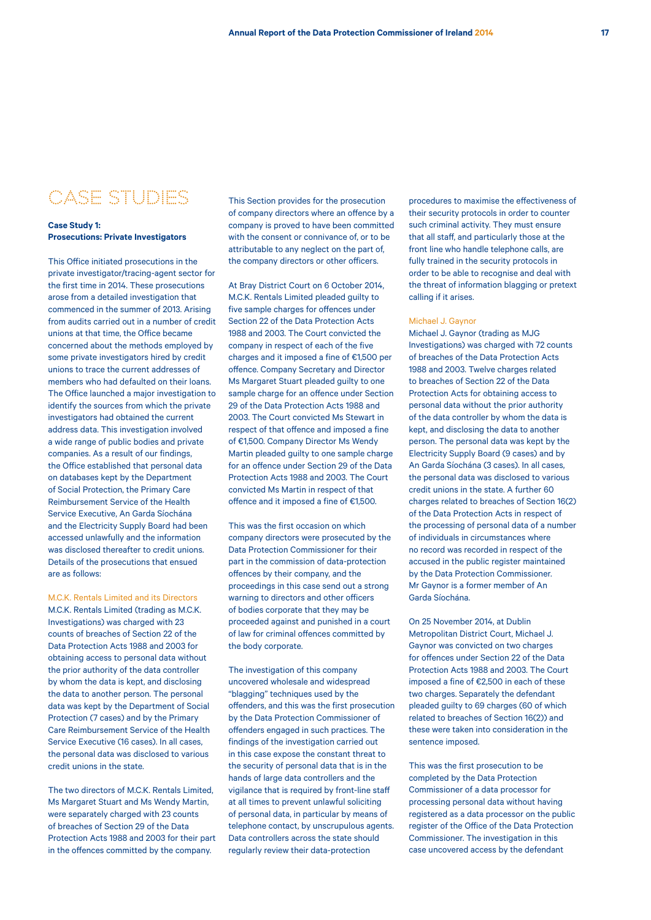## CASE STUDIES

### **Case Study 1: Prosecutions: Private Investigators**

This Office initiated prosecutions in the private investigator/tracing-agent sector for the first time in 2014. These prosecutions arose from a detailed investigation that commenced in the summer of 2013. Arising from audits carried out in a number of credit unions at that time, the Office became concerned about the methods employed by some private investigators hired by credit unions to trace the current addresses of members who had defaulted on their loans. The Office launched a major investigation to identify the sources from which the private investigators had obtained the current address data. This investigation involved a wide range of public bodies and private companies. As a result of our findings, the Office established that personal data on databases kept by the Department of Social Protection, the Primary Care Reimbursement Service of the Health Service Executive, An Garda Síochána and the Electricity Supply Board had been accessed unlawfully and the information was disclosed thereafter to credit unions. Details of the prosecutions that ensued are as follows:

### M.C.K. Rentals Limited and its Directors M.C.K. Rentals Limited (trading as M.C.K.

Investigations) was charged with 23 counts of breaches of Section 22 of the Data Protection Acts 1988 and 2003 for obtaining access to personal data without the prior authority of the data controller by whom the data is kept, and disclosing the data to another person. The personal data was kept by the Department of Social Protection (7 cases) and by the Primary Care Reimbursement Service of the Health Service Executive (16 cases). In all cases, the personal data was disclosed to various credit unions in the state.

The two directors of M.C.K. Rentals Limited, Ms Margaret Stuart and Ms Wendy Martin, were separately charged with 23 counts of breaches of Section 29 of the Data Protection Acts 1988 and 2003 for their part in the offences committed by the company.

This Section provides for the prosecution of company directors where an offence by a company is proved to have been committed with the consent or connivance of, or to be attributable to any neglect on the part of, the company directors or other officers.

At Bray District Court on 6 October 2014, M.C.K. Rentals Limited pleaded guilty to five sample charges for offences under Section 22 of the Data Protection Acts 1988 and 2003. The Court convicted the company in respect of each of the five charges and it imposed a fine of €1,500 per offence. Company Secretary and Director Ms Margaret Stuart pleaded guilty to one sample charge for an offence under Section 29 of the Data Protection Acts 1988 and 2003. The Court convicted Ms Stewart in respect of that offence and imposed a fine of €1,500. Company Director Ms Wendy Martin pleaded quilty to one sample charge for an offence under Section 29 of the Data Protection Acts 1988 and 2003. The Court convicted Ms Martin in respect of that offence and it imposed a fine of €1,500.

This was the first occasion on which company directors were prosecuted by the Data Protection Commissioner for their part in the commission of data-protection offences by their company, and the proceedings in this case send out a strong warning to directors and other officers of bodies corporate that they may be proceeded against and punished in a court of law for criminal offences committed by the body corporate.

The investigation of this company uncovered wholesale and widespread "blagging" techniques used by the offenders, and this was the first prosecution by the Data Protection Commissioner of offenders engaged in such practices. The findings of the investigation carried out in this case expose the constant threat to the security of personal data that is in the hands of large data controllers and the vigilance that is required by front-line staff at all times to prevent unlawful soliciting of personal data, in particular by means of telephone contact, by unscrupulous agents. Data controllers across the state should regularly review their data-protection

procedures to maximise the effectiveness of their security protocols in order to counter such criminal activity. They must ensure that all staff, and particularly those at the front line who handle telephone calls, are fully trained in the security protocols in order to be able to recognise and deal with the threat of information blagging or pretext calling if it arises.

#### Michael J. Gaynor

Michael J. Gaynor (trading as MJG Investigations) was charged with 72 counts of breaches of the Data Protection Acts 1988 and 2003. Twelve charges related to breaches of Section 22 of the Data Protection Acts for obtaining access to personal data without the prior authority of the data controller by whom the data is kept, and disclosing the data to another person. The personal data was kept by the Electricity Supply Board (9 cases) and by An Garda Síochána (3 cases). In all cases, the personal data was disclosed to various credit unions in the state. A further 60 charges related to breaches of Section 16(2) of the Data Protection Acts in respect of the processing of personal data of a number of individuals in circumstances where no record was recorded in respect of the accused in the public register maintained by the Data Protection Commissioner. Mr Gaynor is a former member of An Garda Síochána.

On 25 November 2014, at Dublin Metropolitan District Court, Michael J. Gaynor was convicted on two charges for offences under Section 22 of the Data Protection Acts 1988 and 2003. The Court imposed a fine of €2,500 in each of these two charges. Separately the defendant pleaded guilty to 69 charges (60 of which related to breaches of Section 16(2)) and these were taken into consideration in the sentence imposed.

This was the first prosecution to be completed by the Data Protection Commissioner of a data processor for processing personal data without having registered as a data processor on the public register of the Office of the Data Protection Commissioner. The investigation in this case uncovered access by the defendant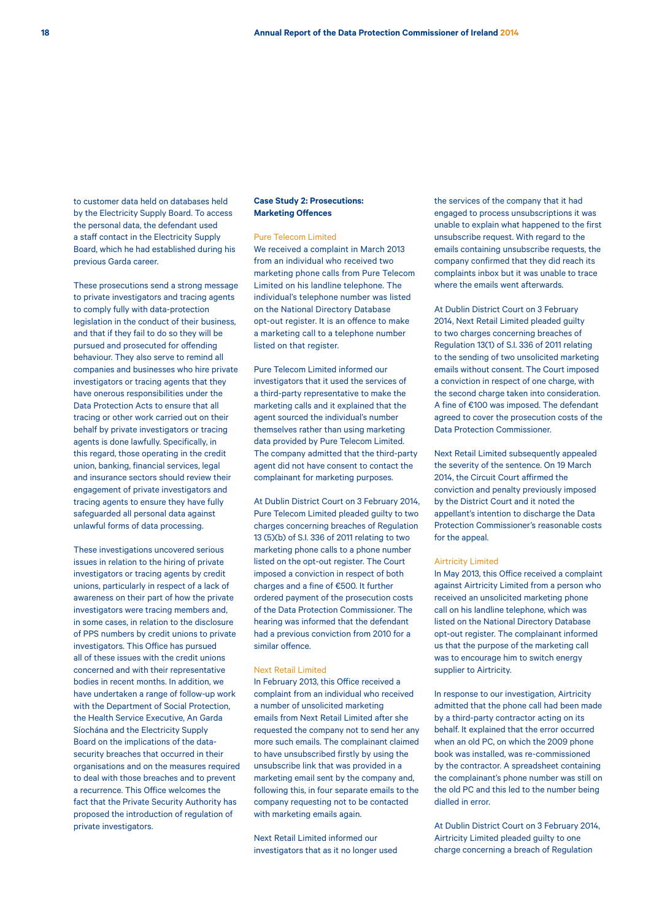to customer data held on databases held by the Electricity Supply Board. To access the personal data, the defendant used a staff contact in the Electricity Supply Board, which he had established during his previous Garda career.

These prosecutions send a strong message to private investigators and tracing agents to comply fully with data-protection legislation in the conduct of their business, and that if they fail to do so they will be pursued and prosecuted for offending behaviour. They also serve to remind all companies and businesses who hire private investigators or tracing agents that they have onerous responsibilities under the Data Protection Acts to ensure that all tracing or other work carried out on their behalf by private investigators or tracing agents is done lawfully. Specifically, in this regard, those operating in the credit union, banking, financial services, legal and insurance sectors should review their engagement of private investigators and tracing agents to ensure they have fully safeguarded all personal data against unlawful forms of data processing.

These investigations uncovered serious issues in relation to the hiring of private investigators or tracing agents by credit unions, particularly in respect of a lack of awareness on their part of how the private investigators were tracing members and, in some cases, in relation to the disclosure of PPS numbers by credit unions to private investigators. This Office has pursued all of these issues with the credit unions concerned and with their representative bodies in recent months. In addition, we have undertaken a range of follow-up work with the Department of Social Protection. the Health Service Executive, An Garda Síochána and the Electricity Supply Board on the implications of the datasecurity breaches that occurred in their organisations and on the measures required to deal with those breaches and to prevent a recurrence. This Office welcomes the fact that the Private Security Authority has proposed the introduction of regulation of private investigators.

## **Case Study 2: Prosecutions: Marketing Offences**

## Pure Telecom Limited

We received a complaint in March 2013 from an individual who received two marketing phone calls from Pure Telecom Limited on his landline telephone. The individual's telephone number was listed on the National Directory Database opt-out register. It is an offence to make a marketing call to a telephone number listed on that register.

Pure Telecom Limited informed our investigators that it used the services of a third-party representative to make the marketing calls and it explained that the agent sourced the individual's number themselves rather than using marketing data provided by Pure Telecom Limited. The company admitted that the third-party agent did not have consent to contact the complainant for marketing purposes.

At Dublin District Court on 3 February 2014, Pure Telecom Limited pleaded guilty to two charges concerning breaches of Regulation 13 (5)(b) of S.I. 336 of 2011 relating to two marketing phone calls to a phone number listed on the opt-out register. The Court imposed a conviction in respect of both charges and a fine of €500. It further ordered payment of the prosecution costs of the Data Protection Commissioner. The hearing was informed that the defendant had a previous conviction from 2010 for a similar offence.

### Next Retail Limited

In February 2013, this Office received a complaint from an individual who received a number of unsolicited marketing emails from Next Retail Limited after she requested the company not to send her any more such emails. The complainant claimed to have unsubscribed firstly by using the unsubscribe link that was provided in a marketing email sent by the company and, following this, in four separate emails to the company requesting not to be contacted with marketing emails again.

Next Retail Limited informed our investigators that as it no longer used the services of the company that it had engaged to process unsubscriptions it was unable to explain what happened to the first unsubscribe request. With regard to the emails containing unsubscribe requests, the company confirmed that they did reach its complaints inbox but it was unable to trace where the emails went afterwards.

At Dublin District Court on 3 February 2014, Next Retail Limited pleaded guilty to two charges concerning breaches of Regulation 13(1) of S.I. 336 of 2011 relating to the sending of two unsolicited marketing emails without consent. The Court imposed a conviction in respect of one charge, with the second charge taken into consideration. A fine of €100 was imposed. The defendant agreed to cover the prosecution costs of the Data Protection Commissioner.

Next Retail Limited subsequently appealed the severity of the sentence. On 19 March 2014, the Circuit Court affirmed the conviction and penalty previously imposed by the District Court and it noted the appellant's intention to discharge the Data Protection Commissioner's reasonable costs for the appeal.

#### Airtricity Limited

In May 2013, this Office received a complaint against Airtricity Limited from a person who received an unsolicited marketing phone call on his landline telephone, which was listed on the National Directory Database opt-out register. The complainant informed us that the purpose of the marketing call was to encourage him to switch energy supplier to Airtricity.

In response to our investigation, Airtricity admitted that the phone call had been made by a third-party contractor acting on its behalf. It explained that the error occurred when an old PC, on which the 2009 phone book was installed, was re-commissioned by the contractor. A spreadsheet containing the complainant's phone number was still on the old PC and this led to the number being dialled in error.

At Dublin District Court on 3 February 2014, Airtricity Limited pleaded guilty to one charge concerning a breach of Regulation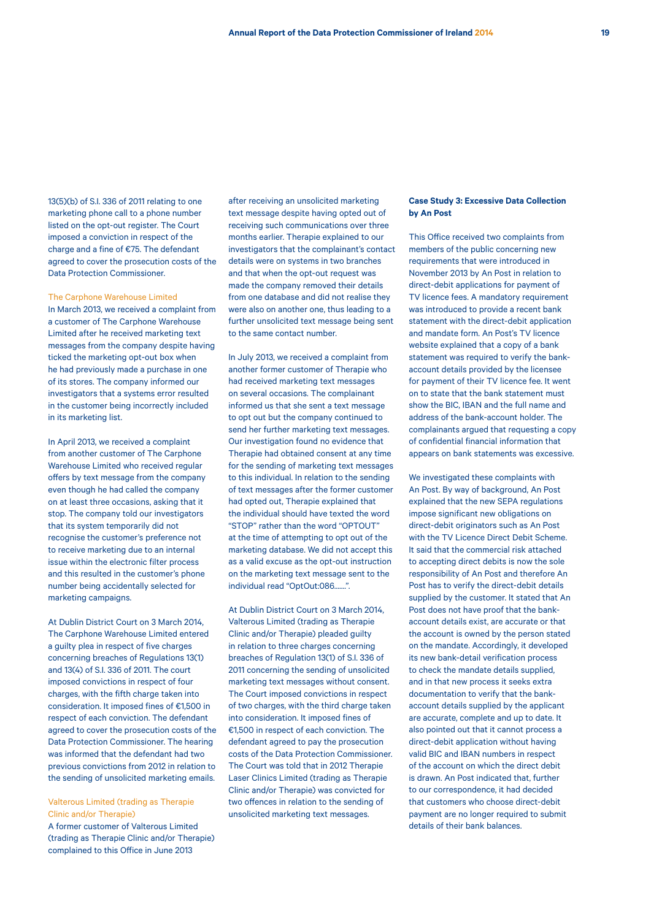13(5)(b) of S.I. 336 of 2011 relating to one marketing phone call to a phone number listed on the opt-out register. The Court imposed a conviction in respect of the charge and a fine of €75. The defendant agreed to cover the prosecution costs of the Data Protection Commissioner.

#### The Carphone Warehouse Limited

In March 2013, we received a complaint from a customer of The Carphone Warehouse Limited after he received marketing text messages from the company despite having ticked the marketing opt-out box when he had previously made a purchase in one of its stores. The company informed our investigators that a systems error resulted in the customer being incorrectly included in its marketing list.

In April 2013, we received a complaint from another customer of The Carphone Warehouse Limited who received regular offers by text message from the company even though he had called the company on at least three occasions, asking that it stop. The company told our investigators that its system temporarily did not recognise the customer's preference not to receive marketing due to an internal issue within the electronic filter process and this resulted in the customer's phone number being accidentally selected for marketing campaigns.

At Dublin District Court on 3 March 2014, The Carphone Warehouse Limited entered a guilty plea in respect of five charges concerning breaches of Regulations 13(1) and 13(4) of S.I. 336 of 2011. The court imposed convictions in respect of four charges, with the fifth charge taken into consideration. It imposed fines of €1,500 in respect of each conviction. The defendant agreed to cover the prosecution costs of the Data Protection Commissioner. The hearing was informed that the defendant had two previous convictions from 2012 in relation to the sending of unsolicited marketing emails.

#### Valterous Limited (trading as Therapie Clinic and/or Therapie)

A former customer of Valterous Limited (trading as Therapie Clinic and/or Therapie) complained to this Office in June 2013

after receiving an unsolicited marketing text message despite having opted out of receiving such communications over three months earlier. Therapie explained to our investigators that the complainant's contact details were on systems in two branches and that when the opt-out request was made the company removed their details from one database and did not realise they were also on another one, thus leading to a further unsolicited text message being sent to the same contact number.

In July 2013, we received a complaint from another former customer of Therapie who had received marketing text messages on several occasions. The complainant informed us that she sent a text message to opt out but the company continued to send her further marketing text messages. Our investigation found no evidence that Therapie had obtained consent at any time for the sending of marketing text messages to this individual. In relation to the sending of text messages after the former customer had opted out, Therapie explained that the individual should have texted the word "STOP" rather than the word "OPTOUT" at the time of attempting to opt out of the marketing database. We did not accept this as a valid excuse as the opt-out instruction on the marketing text message sent to the individual read "OptOut:086.......".

At Dublin District Court on 3 March 2014, Valterous Limited (trading as Therapie Clinic and/or Therapie) pleaded guilty in relation to three charges concerning breaches of Regulation 13(1) of S.I. 336 of 2011 concerning the sending of unsolicited marketing text messages without consent. The Court imposed convictions in respect of two charges, with the third charge taken into consideration. It imposed fines of €1,500 in respect of each conviction. The defendant agreed to pay the prosecution costs of the Data Protection Commissioner. The Court was told that in 2012 Therapie Laser Clinics Limited (trading as Therapie Clinic and/or Therapie) was convicted for two offences in relation to the sending of unsolicited marketing text messages.

## **Case Study 3: Excessive Data Collection by An Post**

This Office received two complaints from members of the public concerning new requirements that were introduced in November 2013 by An Post in relation to direct-debit applications for payment of TV licence fees. A mandatory requirement was introduced to provide a recent bank statement with the direct-debit application and mandate form. An Post's TV licence website explained that a copy of a bank statement was required to verify the bankaccount details provided by the licensee for payment of their TV licence fee. It went on to state that the bank statement must show the BIC, IBAN and the full name and address of the bank-account holder. The complainants argued that requesting a copy of confidential financial information that appears on bank statements was excessive.

We investigated these complaints with An Post. By way of background, An Post explained that the new SEPA regulations impose significant new obligations on direct-debit originators such as An Post with the TV Licence Direct Debit Scheme. It said that the commercial risk attached to accepting direct debits is now the sole responsibility of An Post and therefore An Post has to verify the direct-debit details supplied by the customer. It stated that An Post does not have proof that the bankaccount details exist, are accurate or that the account is owned by the person stated on the mandate. Accordingly, it developed its new bank-detail verification process to check the mandate details supplied, and in that new process it seeks extra documentation to verify that the bankaccount details supplied by the applicant are accurate, complete and up to date. It also pointed out that it cannot process a direct-debit application without having valid BIC and IBAN numbers in respect of the account on which the direct debit is drawn. An Post indicated that, further to our correspondence, it had decided that customers who choose direct-debit payment are no longer required to submit details of their bank balances.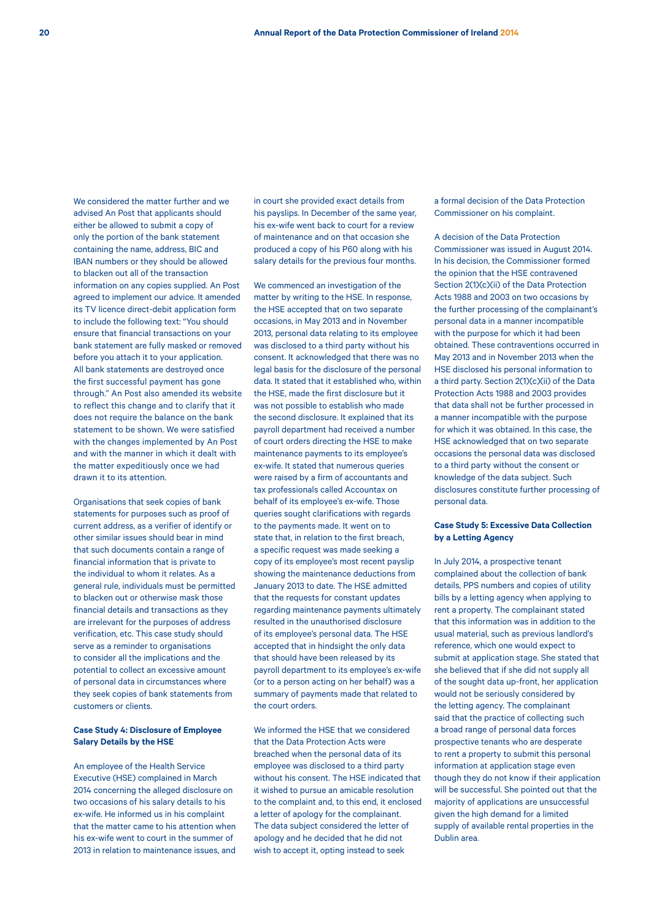We considered the matter further and we advised An Post that applicants should either be allowed to submit a copy of only the portion of the bank statement containing the name, address, BIC and IBAN numbers or they should be allowed to blacken out all of the transaction information on any copies supplied. An Post agreed to implement our advice. It amended its TV licence direct-debit application form to include the following text: "You should ensure that financial transactions on your bank statement are fully masked or removed before you attach it to your application. All bank statements are destroyed once the first successful payment has gone through." An Post also amended its website to reflect this change and to clarify that it does not require the balance on the bank statement to be shown. We were satisfied with the changes implemented by An Post and with the manner in which it dealt with the matter expeditiously once we had drawn it to its attention.

Organisations that seek copies of bank statements for purposes such as proof of current address, as a verifier of identify or other similar issues should bear in mind that such documents contain a range of financial information that is private to the individual to whom it relates. As a general rule, individuals must be permitted to blacken out or otherwise mask those financial details and transactions as they are irrelevant for the purposes of address verification, etc. This case study should serve as a reminder to organisations to consider all the implications and the potential to collect an excessive amount of personal data in circumstances where they seek copies of bank statements from customers or clients.

## **Case Study 4: Disclosure of Employee Salary Details by the HSE**

An employee of the Health Service Executive (HSE) complained in March 2014 concerning the alleged disclosure on two occasions of his salary details to his ex-wife. He informed us in his complaint that the matter came to his attention when his ex-wife went to court in the summer of 2013 in relation to maintenance issues, and in court she provided exact details from his payslips. In December of the same year, his ex-wife went back to court for a review of maintenance and on that occasion she produced a copy of his P60 along with his salary details for the previous four months.

We commenced an investigation of the matter by writing to the HSE. In response, the HSE accepted that on two separate occasions, in May 2013 and in November 2013, personal data relating to its employee was disclosed to a third party without his consent. It acknowledged that there was no legal basis for the disclosure of the personal data. It stated that it established who, within the HSE, made the first disclosure but it was not possible to establish who made the second disclosure. It explained that its payroll department had received a number of court orders directing the HSE to make maintenance payments to its employee's ex-wife. It stated that numerous queries were raised by a firm of accountants and tax professionals called Accountax on behalf of its employee's ex-wife. Those queries sought clarifications with regards to the payments made. It went on to state that, in relation to the first breach a specific request was made seeking a copy of its employee's most recent payslip showing the maintenance deductions from January 2013 to date. The HSE admitted that the requests for constant updates regarding maintenance payments ultimately resulted in the unauthorised disclosure of its employee's personal data. The HSE accepted that in hindsight the only data that should have been released by its payroll department to its employee's ex-wife (or to a person acting on her behalf) was a summary of payments made that related to the court orders.

We informed the HSE that we considered that the Data Protection Acts were breached when the personal data of its employee was disclosed to a third party without his consent. The HSE indicated that it wished to pursue an amicable resolution to the complaint and, to this end, it enclosed a letter of apology for the complainant. The data subject considered the letter of apology and he decided that he did not wish to accept it, opting instead to seek

a formal decision of the Data Protection Commissioner on his complaint.

A decision of the Data Protection Commissioner was issued in August 2014. In his decision, the Commissioner formed the opinion that the HSE contravened Section 2(1)(c)(ii) of the Data Protection Acts 1988 and 2003 on two occasions by the further processing of the complainant's personal data in a manner incompatible with the purpose for which it had been obtained. These contraventions occurred in May 2013 and in November 2013 when the HSE disclosed his personal information to a third party. Section 2(1)(c)(ii) of the Data Protection Acts 1988 and 2003 provides that data shall not be further processed in a manner incompatible with the purpose for which it was obtained. In this case, the HSE acknowledged that on two separate occasions the personal data was disclosed to a third party without the consent or knowledge of the data subject. Such disclosures constitute further processing of personal data.

## **Case Study 5: Excessive Data Collection by a Letting Agency**

In July 2014, a prospective tenant complained about the collection of bank details, PPS numbers and copies of utility bills by a letting agency when applying to rent a property. The complainant stated that this information was in addition to the usual material, such as previous landlord's reference, which one would expect to submit at application stage. She stated that she believed that if she did not supply all of the sought data up-front, her application would not be seriously considered by the letting agency. The complainant said that the practice of collecting such a broad range of personal data forces prospective tenants who are desperate to rent a property to submit this personal information at application stage even though they do not know if their application will be successful. She pointed out that the majority of applications are unsuccessful given the high demand for a limited supply of available rental properties in the Dublin area.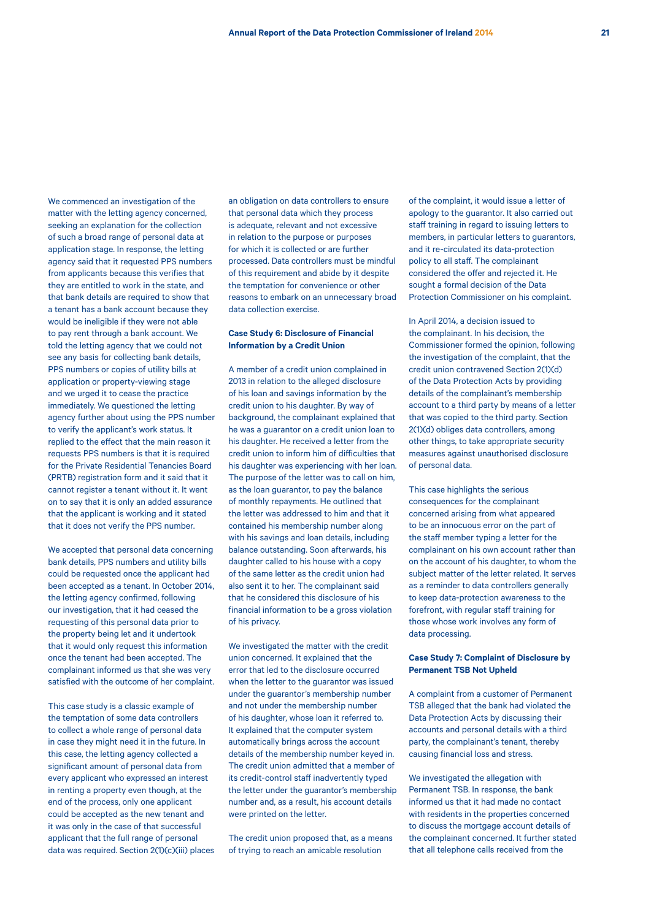We commenced an investigation of the matter with the letting agency concerned, seeking an explanation for the collection of such a broad range of personal data at application stage. In response, the letting agency said that it requested PPS numbers from applicants because this verifies that they are entitled to work in the state, and that bank details are required to show that a tenant has a bank account because they would be ineligible if they were not able to pay rent through a bank account. We told the letting agency that we could not see any basis for collecting bank details, PPS numbers or copies of utility bills at application or property-viewing stage and we urged it to cease the practice immediately. We questioned the letting agency further about using the PPS number to verify the applicant's work status. It replied to the effect that the main reason it requests PPS numbers is that it is required for the Private Residential Tenancies Board (PRTB) registration form and it said that it cannot register a tenant without it. It went on to say that it is only an added assurance that the applicant is working and it stated that it does not verify the PPS number.

We accepted that personal data concerning bank details, PPS numbers and utility bills could be requested once the applicant had been accepted as a tenant. In October 2014, the letting agency confirmed, following our investigation, that it had ceased the requesting of this personal data prior to the property being let and it undertook that it would only request this information once the tenant had been accepted. The complainant informed us that she was very satisfied with the outcome of her complaint.

This case study is a classic example of the temptation of some data controllers to collect a whole range of personal data in case they might need it in the future. In this case, the letting agency collected a significant amount of personal data from every applicant who expressed an interest in renting a property even though, at the end of the process, only one applicant could be accepted as the new tenant and it was only in the case of that successful applicant that the full range of personal data was required. Section 2(1)(c)(iii) places an obligation on data controllers to ensure that personal data which they process is adequate, relevant and not excessive in relation to the purpose or purposes for which it is collected or are further processed. Data controllers must be mindful of this requirement and abide by it despite the temptation for convenience or other reasons to embark on an unnecessary broad data collection exercise.

## **Case Study 6: Disclosure of Financial Information by a Credit Union**

A member of a credit union complained in 2013 in relation to the alleged disclosure of his loan and savings information by the credit union to his daughter. By way of background, the complainant explained that he was a guarantor on a credit union loan to his daughter. He received a letter from the credit union to inform him of difficulties that his daughter was experiencing with her loan. The purpose of the letter was to call on him, as the loan guarantor, to pay the balance of monthly repayments. He outlined that the letter was addressed to him and that it contained his membership number along with his savings and loan details, including balance outstanding. Soon afterwards, his daughter called to his house with a copy of the same letter as the credit union had also sent it to her. The complainant said that he considered this disclosure of his financial information to be a gross violation of his privacy.

We investigated the matter with the credit union concerned. It explained that the error that led to the disclosure occurred when the letter to the guarantor was issued under the guarantor's membership number and not under the membership number of his daughter, whose loan it referred to. It explained that the computer system automatically brings across the account details of the membership number keyed in. The credit union admitted that a member of its credit-control staff inadvertently typed the letter under the guarantor's membership number and, as a result, his account details were printed on the letter.

The credit union proposed that, as a means of trying to reach an amicable resolution

of the complaint, it would issue a letter of apology to the guarantor. It also carried out staff training in regard to issuing letters to members, in particular letters to guarantors, and it re-circulated its data-protection policy to all staff. The complainant considered the offer and rejected it. He sought a formal decision of the Data Protection Commissioner on his complaint.

In April 2014, a decision issued to the complainant. In his decision, the Commissioner formed the opinion, following the investigation of the complaint, that the credit union contravened Section 2(1)(d) of the Data Protection Acts by providing details of the complainant's membership account to a third party by means of a letter that was copied to the third party. Section 2(1)(d) obliges data controllers, among other things, to take appropriate security measures against unauthorised disclosure of personal data.

This case highlights the serious consequences for the complainant concerned arising from what appeared to be an innocuous error on the part of the staff member typing a letter for the complainant on his own account rather than on the account of his daughter, to whom the subject matter of the letter related. It serves as a reminder to data controllers generally to keep data-protection awareness to the forefront, with regular staff training for those whose work involves any form of data processing.

### **Case Study 7: Complaint of Disclosure by Permanent TSB Not Upheld**

A complaint from a customer of Permanent TSB alleged that the bank had violated the Data Protection Acts by discussing their accounts and personal details with a third party, the complainant's tenant, thereby causing financial loss and stress.

We investigated the allegation with Permanent TSB. In response, the bank informed us that it had made no contact with residents in the properties concerned to discuss the mortgage account details of the complainant concerned. It further stated that all telephone calls received from the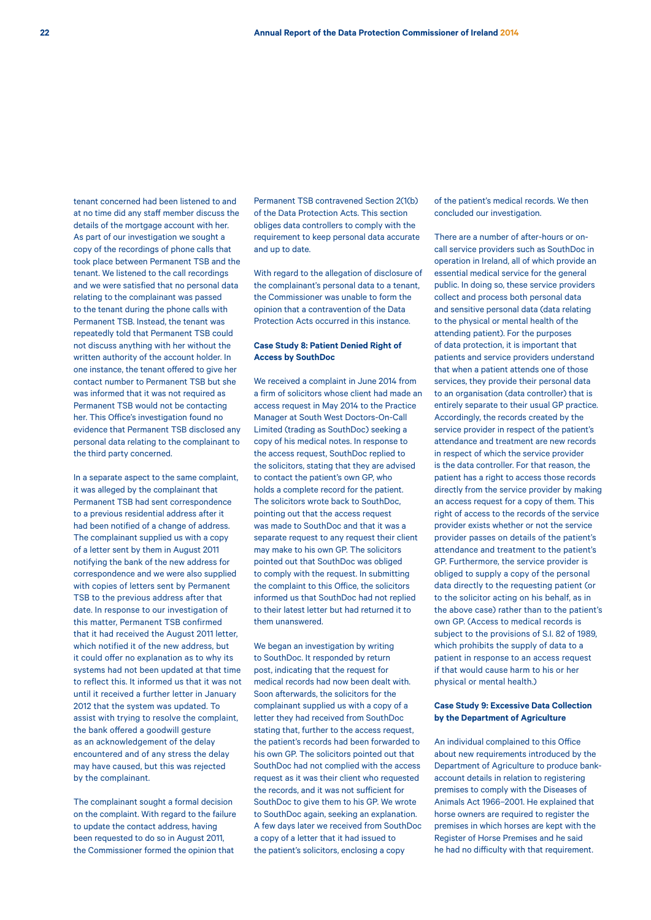tenant concerned had been listened to and at no time did any staff member discuss the details of the mortgage account with her. As part of our investigation we sought a copy of the recordings of phone calls that took place between Permanent TSB and the tenant. We listened to the call recordings and we were satisfied that no personal data relating to the complainant was passed to the tenant during the phone calls with Permanent TSB. Instead, the tenant was repeatedly told that Permanent TSB could not discuss anything with her without the written authority of the account holder. In one instance, the tenant offered to give her contact number to Permanent TSB but she was informed that it was not required as Permanent TSB would not be contacting her. This Office's investigation found no evidence that Permanent TSB disclosed any personal data relating to the complainant to the third party concerned.

In a separate aspect to the same complaint, it was alleged by the complainant that Permanent TSB had sent correspondence to a previous residential address after it had been notified of a change of address. The complainant supplied us with a copy of a letter sent by them in August 2011 notifying the bank of the new address for correspondence and we were also supplied with copies of letters sent by Permanent TSB to the previous address after that date. In response to our investigation of this matter, Permanent TSB confirmed that it had received the August 2011 letter, which notified it of the new address, but it could offer no explanation as to why its systems had not been updated at that time to reflect this. It informed us that it was not until it received a further letter in January 2012 that the system was updated. To assist with trying to resolve the complaint, the bank offered a goodwill gesture as an acknowledgement of the delay encountered and of any stress the delay may have caused, but this was rejected by the complainant.

The complainant sought a formal decision on the complaint. With regard to the failure to update the contact address, having been requested to do so in August 2011, the Commissioner formed the opinion that

Permanent TSB contravened Section 2(1(b) of the Data Protection Acts. This section obliges data controllers to comply with the requirement to keep personal data accurate and up to date.

With regard to the allegation of disclosure of the complainant's personal data to a tenant, the Commissioner was unable to form the opinion that a contravention of the Data Protection Acts occurred in this instance.

## **Case Study 8: Patient Denied Right of Access by SouthDoc**

We received a complaint in June 2014 from a firm of solicitors whose client had made an access request in May 2014 to the Practice Manager at South West Doctors-On-Call Limited (trading as SouthDoc) seeking a copy of his medical notes. In response to the access request, SouthDoc replied to the solicitors, stating that they are advised to contact the patient's own GP, who holds a complete record for the patient. The solicitors wrote back to SouthDoc, pointing out that the access request was made to SouthDoc and that it was a separate request to any request their client may make to his own GP. The solicitors pointed out that SouthDoc was obliged to comply with the request. In submitting the complaint to this Office, the solicitors informed us that SouthDoc had not replied to their latest letter but had returned it to them unanswered.

We began an investigation by writing to SouthDoc. It responded by return post, indicating that the request for medical records had now been dealt with. Soon afterwards, the solicitors for the complainant supplied us with a copy of a letter they had received from SouthDoc stating that, further to the access request, the patient's records had been forwarded to his own GP. The solicitors pointed out that SouthDoc had not complied with the access request as it was their client who requested the records, and it was not sufficient for SouthDoc to give them to his GP. We wrote to SouthDoc again, seeking an explanation. A few days later we received from SouthDoc a copy of a letter that it had issued to the patient's solicitors, enclosing a copy

of the patient's medical records. We then concluded our investigation.

There are a number of after-hours or oncall service providers such as SouthDoc in operation in Ireland, all of which provide an essential medical service for the general public. In doing so, these service providers collect and process both personal data and sensitive personal data (data relating to the physical or mental health of the attending patient). For the purposes of data protection, it is important that patients and service providers understand that when a patient attends one of those services, they provide their personal data to an organisation (data controller) that is entirely separate to their usual GP practice. Accordingly, the records created by the service provider in respect of the patient's attendance and treatment are new records in respect of which the service provider is the data controller. For that reason, the patient has a right to access those records directly from the service provider by making an access request for a copy of them. This right of access to the records of the service provider exists whether or not the service provider passes on details of the patient's attendance and treatment to the patient's GP. Furthermore, the service provider is obliged to supply a copy of the personal data directly to the requesting patient (or to the solicitor acting on his behalf, as in the above case) rather than to the patient's own GP. (Access to medical records is subject to the provisions of S.I. 82 of 1989, which prohibits the supply of data to a patient in response to an access request if that would cause harm to his or her physical or mental health.)

## **Case Study 9: Excessive Data Collection by the Department of Agriculture**

An individual complained to this Office about new requirements introduced by the Department of Agriculture to produce bankaccount details in relation to registering premises to comply with the Diseases of Animals Act 1966–2001. He explained that horse owners are required to register the premises in which horses are kept with the Register of Horse Premises and he said he had no difficulty with that requirement.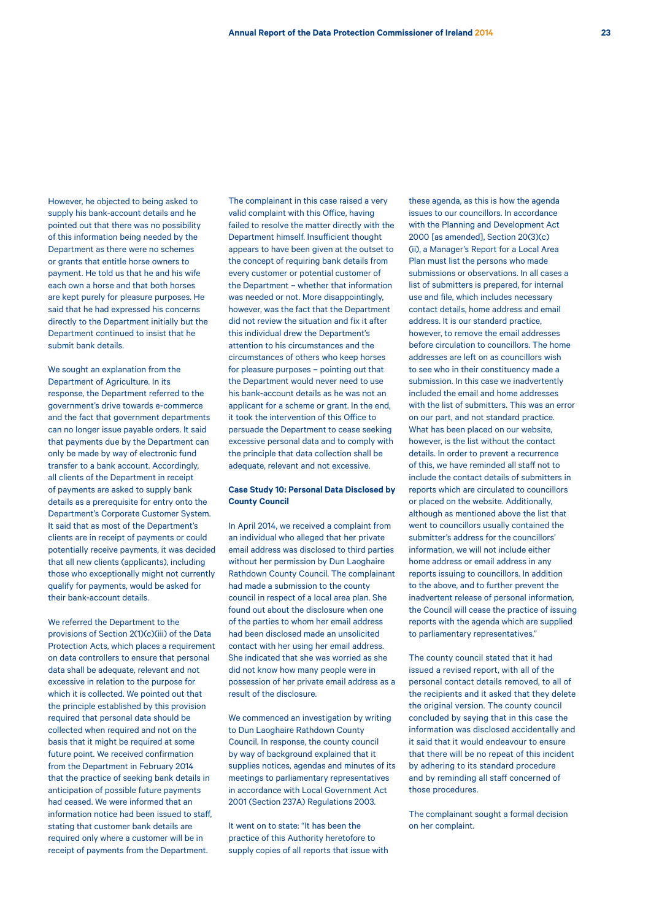However, he objected to being asked to supply his bank-account details and he pointed out that there was no possibility of this information being needed by the Department as there were no schemes or grants that entitle horse owners to payment. He told us that he and his wife each own a horse and that both horses are kept purely for pleasure purposes. He said that he had expressed his concerns directly to the Department initially but the Department continued to insist that he submit bank details.

We sought an explanation from the Department of Agriculture. In its response, the Department referred to the government's drive towards e-commerce and the fact that government departments can no longer issue payable orders. It said that payments due by the Department can only be made by way of electronic fund transfer to a bank account. Accordingly, all clients of the Department in receipt of payments are asked to supply bank details as a prerequisite for entry onto the Department's Corporate Customer System. It said that as most of the Department's clients are in receipt of payments or could potentially receive payments, it was decided that all new clients (applicants), including those who exceptionally might not currently qualify for payments, would be asked for their bank-account details.

We referred the Department to the provisions of Section 2(1)(c)(iii) of the Data Protection Acts, which places a requirement on data controllers to ensure that personal data shall be adequate, relevant and not excessive in relation to the purpose for which it is collected. We pointed out that the principle established by this provision required that personal data should be collected when required and not on the basis that it might be required at some future point. We received confirmation from the Department in February 2014 that the practice of seeking bank details in anticipation of possible future payments had ceased. We were informed that an information notice had been issued to staff, stating that customer bank details are required only where a customer will be in receipt of payments from the Department.

The complainant in this case raised a very valid complaint with this Office, having failed to resolve the matter directly with the Department himself. Insufficient thought appears to have been given at the outset to the concept of requiring bank details from every customer or potential customer of the Department – whether that information was needed or not. More disappointingly, however, was the fact that the Department did not review the situation and fix it after this individual drew the Department's attention to his circumstances and the circumstances of others who keep horses for pleasure purposes – pointing out that the Department would never need to use his bank-account details as he was not an applicant for a scheme or grant. In the end, it took the intervention of this Office to persuade the Department to cease seeking excessive personal data and to comply with the principle that data collection shall be adequate, relevant and not excessive.

## **Case Study 10: Personal Data Disclosed by County Council**

In April 2014, we received a complaint from an individual who alleged that her private email address was disclosed to third parties without her permission by Dun Laoghaire Rathdown County Council. The complainant had made a submission to the county council in respect of a local area plan. She found out about the disclosure when one of the parties to whom her email address had been disclosed made an unsolicited contact with her using her email address. She indicated that she was worried as she did not know how many people were in possession of her private email address as a result of the disclosure.

We commenced an investigation by writing to Dun Laoghaire Rathdown County Council. In response, the county council by way of background explained that it supplies notices, agendas and minutes of its meetings to parliamentary representatives in accordance with Local Government Act 2001 (Section 237A) Regulations 2003.

It went on to state: "It has been the practice of this Authority heretofore to supply copies of all reports that issue with

these agenda, as this is how the agenda issues to our councillors. In accordance with the Planning and Development Act 2000 [as amended], Section 20(3)(c) (ii), a Manager's Report for a Local Area Plan must list the persons who made submissions or observations. In all cases a list of submitters is prepared, for internal use and file, which includes necessary contact details, home address and email address. It is our standard practice, however, to remove the email addresses before circulation to councillors. The home addresses are left on as councillors wish to see who in their constituency made a submission. In this case we inadvertently included the email and home addresses with the list of submitters. This was an error on our part, and not standard practice. What has been placed on our website, however, is the list without the contact details. In order to prevent a recurrence of this, we have reminded all staff not to include the contact details of submitters in reports which are circulated to councillors or placed on the website. Additionally, although as mentioned above the list that went to councillors usually contained the submitter's address for the councillors' information, we will not include either home address or email address in any reports issuing to councillors. In addition to the above, and to further prevent the inadvertent release of personal information, the Council will cease the practice of issuing reports with the agenda which are supplied to parliamentary representatives."

The county council stated that it had issued a revised report, with all of the personal contact details removed, to all of the recipients and it asked that they delete the original version. The county council concluded by saying that in this case the information was disclosed accidentally and it said that it would endeavour to ensure that there will be no repeat of this incident by adhering to its standard procedure and by reminding all staff concerned of those procedures.

The complainant sought a formal decision on her complaint.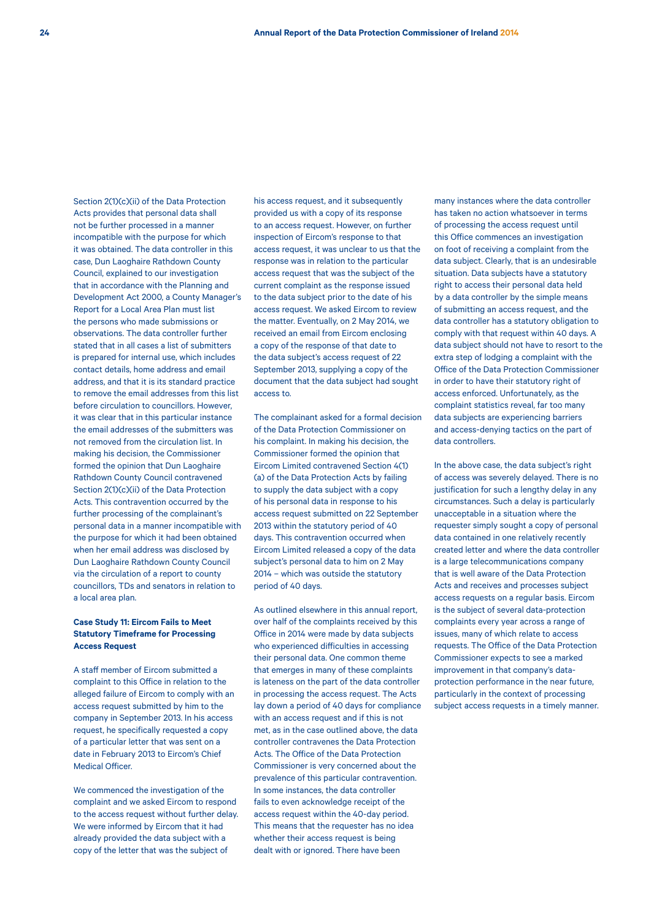Section 2(1)(c)(ii) of the Data Protection Acts provides that personal data shall not be further processed in a manner incompatible with the purpose for which it was obtained. The data controller in this case, Dun Laoghaire Rathdown County Council, explained to our investigation that in accordance with the Planning and Development Act 2000, a County Manager's Report for a Local Area Plan must list the persons who made submissions or observations. The data controller further stated that in all cases a list of submitters is prepared for internal use, which includes contact details, home address and email address, and that it is its standard practice to remove the email addresses from this list before circulation to councillors. However, it was clear that in this particular instance the email addresses of the submitters was not removed from the circulation list. In making his decision, the Commissioner formed the opinion that Dun Laoghaire Rathdown County Council contravened Section 2(1)(c)(ii) of the Data Protection Acts. This contravention occurred by the further processing of the complainant's personal data in a manner incompatible with the purpose for which it had been obtained when her email address was disclosed by Dun Laoghaire Rathdown County Council via the circulation of a report to county councillors, TDs and senators in relation to a local area plan.

## **Case Study 11: Eircom Fails to Meet Statutory Timeframe for Processing Access Request**

A staff member of Eircom submitted a complaint to this Office in relation to the alleged failure of Eircom to comply with an access request submitted by him to the company in September 2013. In his access request, he specifically requested a copy of a particular letter that was sent on a date in February 2013 to Eircom's Chief Medical Officer.

We commenced the investigation of the complaint and we asked Eircom to respond to the access request without further delay. We were informed by Eircom that it had already provided the data subject with a copy of the letter that was the subject of

his access request, and it subsequently provided us with a copy of its response to an access request. However, on further inspection of Eircom's response to that access request, it was unclear to us that the response was in relation to the particular access request that was the subject of the current complaint as the response issued to the data subject prior to the date of his access request. We asked Eircom to review the matter. Eventually, on 2 May 2014, we received an email from Eircom enclosing a copy of the response of that date to the data subject's access request of 22 September 2013, supplying a copy of the document that the data subject had sought access to.

The complainant asked for a formal decision of the Data Protection Commissioner on his complaint. In making his decision, the Commissioner formed the opinion that Eircom Limited contravened Section 4(1) (a) of the Data Protection Acts by failing to supply the data subject with a copy of his personal data in response to his access request submitted on 22 September 2013 within the statutory period of 40 days. This contravention occurred when Eircom Limited released a copy of the data subject's personal data to him on 2 May 2014 – which was outside the statutory period of 40 days.

As outlined elsewhere in this annual report, over half of the complaints received by this Office in 2014 were made by data subjects who experienced difficulties in accessing their personal data. One common theme that emerges in many of these complaints is lateness on the part of the data controller in processing the access request. The Acts lay down a period of 40 days for compliance with an access request and if this is not met, as in the case outlined above, the data controller contravenes the Data Protection Acts. The Office of the Data Protection Commissioner is very concerned about the prevalence of this particular contravention. In some instances, the data controller fails to even acknowledge receipt of the access request within the 40-day period. This means that the requester has no idea whether their access request is being dealt with or ignored. There have been

many instances where the data controller has taken no action whatsoever in terms of processing the access request until this Office commences an investigation on foot of receiving a complaint from the data subject. Clearly, that is an undesirable situation. Data subjects have a statutory right to access their personal data held by a data controller by the simple means of submitting an access request, and the data controller has a statutory obligation to comply with that request within 40 days. A data subject should not have to resort to the extra step of lodging a complaint with the Office of the Data Protection Commissioner in order to have their statutory right of access enforced. Unfortunately, as the complaint statistics reveal, far too many data subjects are experiencing barriers and access-denying tactics on the part of data controllers.

In the above case, the data subject's right of access was severely delayed. There is no justification for such a lengthy delay in any circumstances. Such a delay is particularly unacceptable in a situation where the requester simply sought a copy of personal data contained in one relatively recently created letter and where the data controller is a large telecommunications company that is well aware of the Data Protection Acts and receives and processes subject access requests on a regular basis. Eircom is the subject of several data-protection complaints every year across a range of issues, many of which relate to access requests. The Office of the Data Protection Commissioner expects to see a marked improvement in that company's dataprotection performance in the near future, particularly in the context of processing subject access requests in a timely manner.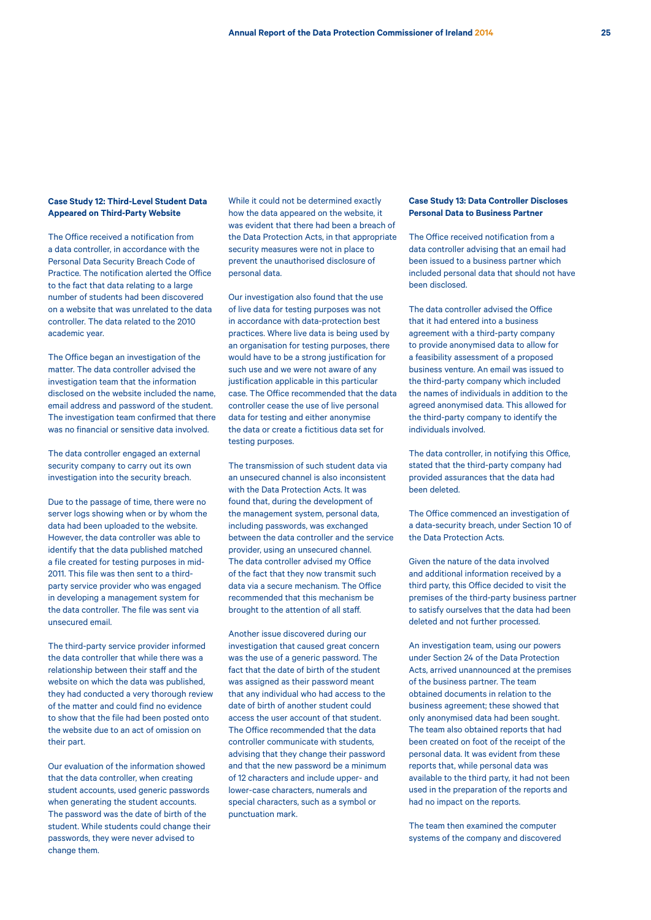## **Case Study 12: Third-Level Student Data Appeared on Third-Party Website**

The Office received a notification from a data controller, in accordance with the Personal Data Security Breach Code of Practice. The notification alerted the Office to the fact that data relating to a large number of students had been discovered on a website that was unrelated to the data controller. The data related to the 2010 academic year.

The Office began an investigation of the matter. The data controller advised the investigation team that the information disclosed on the website included the name, email address and password of the student. The investigation team confirmed that there was no financial or sensitive data involved.

The data controller engaged an external security company to carry out its own investigation into the security breach.

Due to the passage of time, there were no server logs showing when or by whom the data had been uploaded to the website. However, the data controller was able to identify that the data published matched a file created for testing purposes in mid-2011. This file was then sent to a thirdparty service provider who was engaged in developing a management system for the data controller. The file was sent via unsecured email.

The third-party service provider informed the data controller that while there was a relationship between their staff and the website on which the data was published, they had conducted a very thorough review of the matter and could find no evidence to show that the file had been posted onto the website due to an act of omission on their part.

Our evaluation of the information showed that the data controller, when creating student accounts, used generic passwords when generating the student accounts. The password was the date of birth of the student. While students could change their passwords, they were never advised to change them.

While it could not be determined exactly how the data appeared on the website, it was evident that there had been a breach of the Data Protection Acts, in that appropriate security measures were not in place to prevent the unauthorised disclosure of personal data.

Our investigation also found that the use of live data for testing purposes was not in accordance with data-protection best practices. Where live data is being used by an organisation for testing purposes, there would have to be a strong justification for such use and we were not aware of any justification applicable in this particular case. The Office recommended that the data controller cease the use of live personal data for testing and either anonymise the data or create a fictitious data set for testing purposes.

The transmission of such student data via an unsecured channel is also inconsistent with the Data Protection Acts. It was found that, during the development of the management system, personal data, including passwords, was exchanged between the data controller and the service provider, using an unsecured channel. The data controller advised my Office of the fact that they now transmit such data via a secure mechanism. The Office recommended that this mechanism be brought to the attention of all staff.

Another issue discovered during our investigation that caused great concern was the use of a generic password. The fact that the date of birth of the student was assigned as their password meant that any individual who had access to the date of birth of another student could access the user account of that student. The Office recommended that the data controller communicate with students, advising that they change their password and that the new password be a minimum of 12 characters and include upper- and lower-case characters, numerals and special characters, such as a symbol or punctuation mark.

## **Case Study 13: Data Controller Discloses Personal Data to Business Partner**

The Office received notification from a data controller advising that an email had been issued to a business partner which included personal data that should not have been disclosed.

The data controller advised the Office that it had entered into a business agreement with a third-party company to provide anonymised data to allow for a feasibility assessment of a proposed business venture. An email was issued to the third-party company which included the names of individuals in addition to the agreed anonymised data. This allowed for the third-party company to identify the individuals involved.

The data controller, in notifying this Office, stated that the third-party company had provided assurances that the data had been deleted.

The Office commenced an investigation of a data-security breach, under Section 10 of the Data Protection Acts.

Given the nature of the data involved and additional information received by a third party, this Office decided to visit the premises of the third-party business partner to satisfy ourselves that the data had been deleted and not further processed.

An investigation team, using our powers under Section 24 of the Data Protection Acts, arrived unannounced at the premises of the business partner. The team obtained documents in relation to the business agreement; these showed that only anonymised data had been sought. The team also obtained reports that had been created on foot of the receipt of the personal data. It was evident from these reports that, while personal data was available to the third party, it had not been used in the preparation of the reports and had no impact on the reports.

The team then examined the computer systems of the company and discovered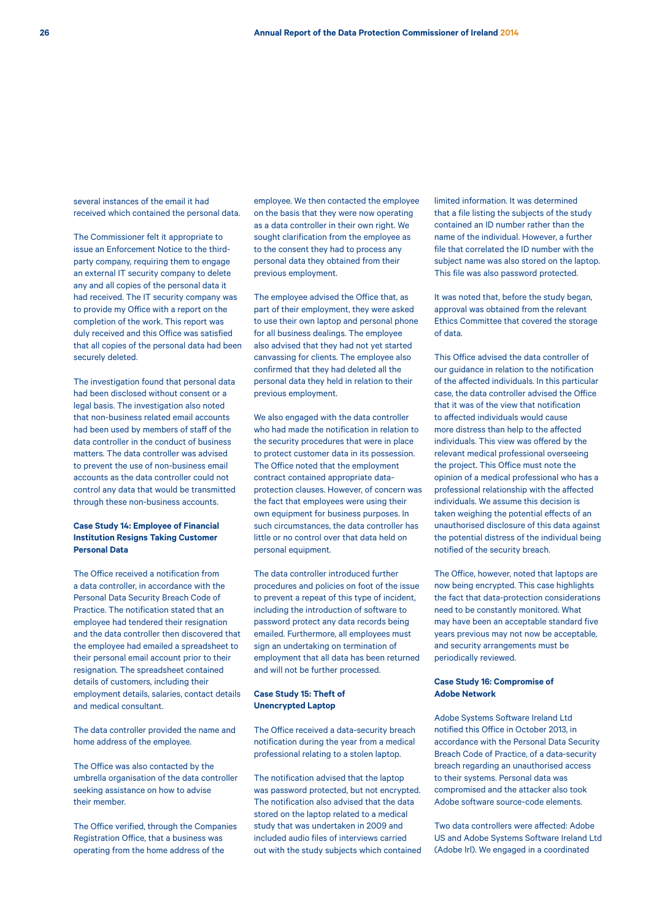several instances of the email it had received which contained the personal data.

The Commissioner felt it appropriate to issue an Enforcement Notice to the thirdparty company, requiring them to engage an external IT security company to delete any and all copies of the personal data it had received. The IT security company was to provide my Office with a report on the completion of the work. This report was duly received and this Office was satisfied that all copies of the personal data had been securely deleted.

The investigation found that personal data had been disclosed without consent or a legal basis. The investigation also noted that non-business related email accounts had been used by members of staff of the data controller in the conduct of business matters. The data controller was advised to prevent the use of non-business email accounts as the data controller could not control any data that would be transmitted through these non-business accounts.

### **Case Study 14: Employee of Financial Institution Resigns Taking Customer Personal Data**

The Office received a notification from a data controller, in accordance with the Personal Data Security Breach Code of Practice. The notification stated that an employee had tendered their resignation and the data controller then discovered that the employee had emailed a spreadsheet to their personal email account prior to their resignation. The spreadsheet contained details of customers, including their employment details, salaries, contact details and medical consultant.

The data controller provided the name and home address of the employee.

The Office was also contacted by the umbrella organisation of the data controller seeking assistance on how to advise their member.

The Office verified, through the Companies Registration Office, that a business was operating from the home address of the

employee. We then contacted the employee on the basis that they were now operating as a data controller in their own right. We sought clarification from the employee as to the consent they had to process any personal data they obtained from their previous employment.

The employee advised the Office that, as part of their employment, they were asked to use their own laptop and personal phone for all business dealings. The employee also advised that they had not yet started canvassing for clients. The employee also confirmed that they had deleted all the personal data they held in relation to their previous employment.

We also engaged with the data controller who had made the notification in relation to the security procedures that were in place to protect customer data in its possession. The Office noted that the employment contract contained appropriate dataprotection clauses. However, of concern was the fact that employees were using their own equipment for business purposes. In such circumstances, the data controller has little or no control over that data held on personal equipment.

The data controller introduced further procedures and policies on foot of the issue to prevent a repeat of this type of incident, including the introduction of software to password protect any data records being emailed. Furthermore, all employees must sign an undertaking on termination of employment that all data has been returned and will not be further processed.

### **Case Study 15: Theft of Unencrypted Laptop**

The Office received a data-security breach notification during the year from a medical professional relating to a stolen laptop.

The notification advised that the laptop was password protected, but not encrypted. The notification also advised that the data stored on the laptop related to a medical study that was undertaken in 2009 and included audio files of interviews carried out with the study subjects which contained limited information. It was determined that a file listing the subjects of the study contained an ID number rather than the name of the individual. However, a further file that correlated the ID number with the subject name was also stored on the laptop. This file was also password protected.

It was noted that, before the study began, approval was obtained from the relevant Ethics Committee that covered the storage of data.

This Office advised the data controller of our guidance in relation to the notification of the affected individuals. In this particular case, the data controller advised the Office that it was of the view that notification to affected individuals would cause more distress than help to the affected individuals. This view was offered by the relevant medical professional overseeing the project. This Office must note the opinion of a medical professional who has a professional relationship with the affected individuals. We assume this decision is taken weighing the potential effects of an unauthorised disclosure of this data against the potential distress of the individual being notified of the security breach.

The Office, however, noted that laptops are now being encrypted. This case highlights the fact that data-protection considerations need to be constantly monitored. What may have been an acceptable standard five years previous may not now be acceptable, and security arrangements must be periodically reviewed.

## **Case Study 16: Compromise of Adobe Network**

Adobe Systems Software Ireland Ltd notified this Office in October 2013, in accordance with the Personal Data Security Breach Code of Practice, of a data-security breach regarding an unauthorised access to their systems. Personal data was compromised and the attacker also took Adobe software source-code elements.

Two data controllers were affected: Adobe US and Adobe Systems Software Ireland Ltd (Adobe Irl). We engaged in a coordinated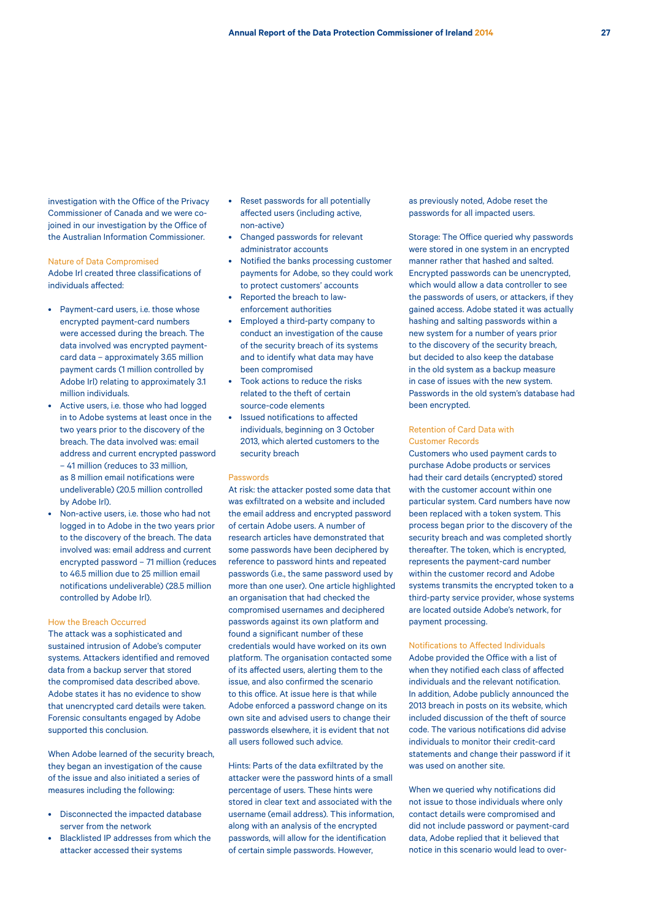investigation with the Office of the Privacy Commissioner of Canada and we were cojoined in our investigation by the Office of the Australian Information Commissioner.

#### Nature of Data Compromised

Adobe Irl created three classifications of individuals affected:

- Payment-card users, i.e. those whose encrypted payment-card numbers were accessed during the breach. The data involved was encrypted paymentcard data – approximately 3.65 million payment cards (1 million controlled by Adobe Irl) relating to approximately 3.1 million individuals.
- Active users, i.e. those who had logged in to Adobe systems at least once in the two years prior to the discovery of the breach. The data involved was: email address and current encrypted password – 41 million (reduces to 33 million, as 8 million email notifications were undeliverable) (20.5 million controlled by Adobe Irl).
- Non-active users, i.e. those who had not logged in to Adobe in the two years prior to the discovery of the breach. The data involved was: email address and current encrypted password – 71 million (reduces to 46.5 million due to 25 million email notifications undeliverable) (28.5 million controlled by Adobe Irl).

#### How the Breach Occurred

The attack was a sophisticated and sustained intrusion of Adobe's computer systems. Attackers identified and removed data from a backup server that stored the compromised data described above. Adobe states it has no evidence to show that unencrypted card details were taken. Forensic consultants engaged by Adobe supported this conclusion.

When Adobe learned of the security breach, they began an investigation of the cause of the issue and also initiated a series of measures including the following:

- Disconnected the impacted database server from the network
- Blacklisted IP addresses from which the attacker accessed their systems
- Reset passwords for all potentially affected users (including active, non-active)
- Changed passwords for relevant administrator accounts
- Notified the banks processing customer payments for Adobe, so they could work to protect customers' accounts
- Reported the breach to lawenforcement authorities
- Employed a third-party company to conduct an investigation of the cause of the security breach of its systems and to identify what data may have been compromised
- Took actions to reduce the risks related to the theft of certain source-code elements
- Issued notifications to affected individuals, beginning on 3 October 2013, which alerted customers to the security breach

#### Passwords

At risk: the attacker posted some data that was exfiltrated on a website and included the email address and encrypted password of certain Adobe users. A number of research articles have demonstrated that some passwords have been deciphered by reference to password hints and repeated passwords (i.e., the same password used by more than one user). One article highlighted an organisation that had checked the compromised usernames and deciphered passwords against its own platform and found a significant number of these credentials would have worked on its own platform. The organisation contacted some of its affected users, alerting them to the issue, and also confirmed the scenario to this office. At issue here is that while Adobe enforced a password change on its own site and advised users to change their passwords elsewhere, it is evident that not all users followed such advice.

Hints: Parts of the data exfiltrated by the attacker were the password hints of a small percentage of users. These hints were stored in clear text and associated with the username (email address). This information, along with an analysis of the encrypted passwords, will allow for the identification of certain simple passwords. However,

as previously noted, Adobe reset the passwords for all impacted users.

Storage: The Office queried why passwords were stored in one system in an encrypted manner rather that hashed and salted. Encrypted passwords can be unencrypted, which would allow a data controller to see the passwords of users, or attackers, if they gained access. Adobe stated it was actually hashing and salting passwords within a new system for a number of years prior to the discovery of the security breach, but decided to also keep the database in the old system as a backup measure in case of issues with the new system. Passwords in the old system's database had been encrypted.

### Retention of Card Data with Customer Records

Customers who used payment cards to purchase Adobe products or services had their card details (encrypted) stored with the customer account within one particular system. Card numbers have now been replaced with a token system. This process began prior to the discovery of the security breach and was completed shortly thereafter. The token, which is encrypted, represents the payment-card number within the customer record and Adobe systems transmits the encrypted token to a third-party service provider, whose systems are located outside Adobe's network, for payment processing.

Notifications to Affected Individuals Adobe provided the Office with a list of when they notified each class of affected individuals and the relevant notification. In addition, Adobe publicly announced the 2013 breach in posts on its website, which included discussion of the theft of source code. The various notifications did advise individuals to monitor their credit-card statements and change their password if it was used on another site.

When we queried why notifications did not issue to those individuals where only contact details were compromised and did not include password or payment-card data, Adobe replied that it believed that notice in this scenario would lead to over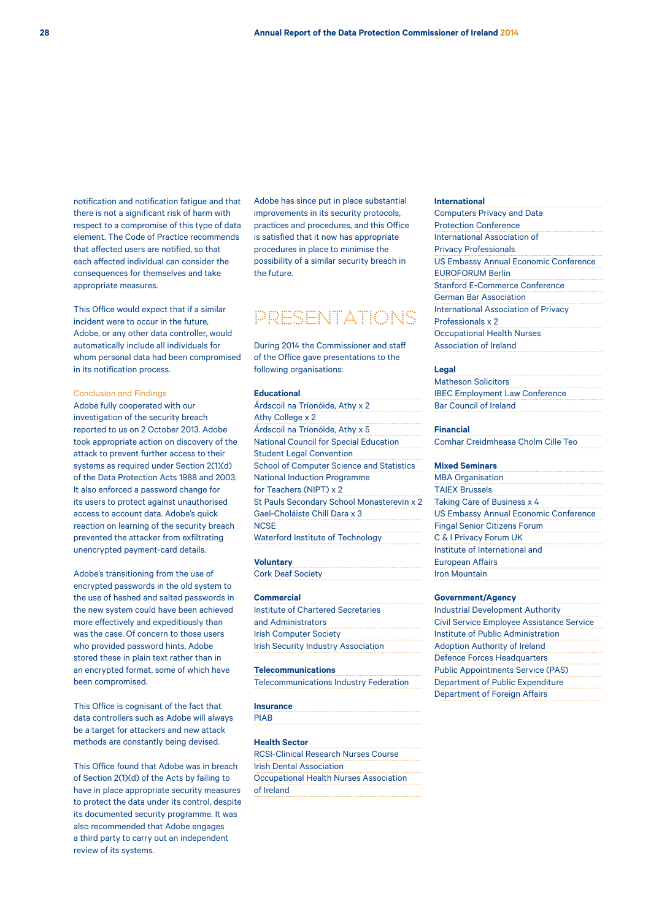notification and notification fatigue and that there is not a significant risk of harm with respect to a compromise of this type of data element. The Code of Practice recommends that affected users are notified, so that each affected individual can consider the consequences for themselves and take appropriate measures.

This Office would expect that if a similar incident were to occur in the future, Adobe, or any other data controller, would automatically include all individuals for whom personal data had been compromised in its notification process.

### Conclusion and Findings

Adobe fully cooperated with our investigation of the security breach reported to us on 2 October 2013. Adobe took appropriate action on discovery of the attack to prevent further access to their systems as required under Section 2(1)(d) of the Data Protection Acts 1988 and 2003. It also enforced a password change for its users to protect against unauthorised access to account data. Adobe's quick reaction on learning of the security breach prevented the attacker from exfiltrating unencrypted payment-card details.

Adobe's transitioning from the use of encrypted passwords in the old system to the use of hashed and salted passwords in the new system could have been achieved more effectively and expeditiously than was the case. Of concern to those users who provided password hints, Adobe stored these in plain text rather than in an encrypted format, some of which have been compromised.

This Office is cognisant of the fact that data controllers such as Adobe will always be a target for attackers and new attack methods are constantly being devised.

This Office found that Adobe was in breach of Section 2(1)(d) of the Acts by failing to have in place appropriate security measures to protect the data under its control, despite its documented security programme. It was also recommended that Adobe engages a third party to carry out an independent review of its systems.

Adobe has since put in place substantial improvements in its security protocols, practices and procedures, and this Office is satisfied that it now has appropriate procedures in place to minimise the possibility of a similar security breach in the future.

## PRESENTATIONS

During 2014 the Commissioner and staff of the Office gave presentations to the following organisations:

#### **Educational**

Árdscoil na Tríonóide, Athy x 2 Athy College x 2 Árdscoil na Tríonóide, Athy x 5 National Council for Special Education Student Legal Convention School of Computer Science and Statistics National Induction Programme for Teachers (NIPT) x 2 St Pauls Secondary School Monasterevin x 2 Gael-Choláiste Chill Dara x 3 **NCSE** Waterford Institute of Technology

## **Voluntary**

Cork Deaf Society

## **Commercial**

Institute of Chartered Secretaries and Administrators Irish Computer Society Irish Security Industry Association

#### **Telecommunications**

Telecommunications Industry Federation

#### **Insurance**

PIAB

#### **Health Sector**

RCSI-Clinical Research Nurses Course Irish Dental Association Occupational Health Nurses Association of Ireland

#### **International**

#### **Legal**

Matheson Solicitors IBEC Employment Law Conference Bar Council of Ireland

### **Financial**

Comhar Creidmheasa Cholm Cille Teo

#### **Mixed Seminars**

| <b>MBA Organisation</b>                      |
|----------------------------------------------|
| <b>TAIEX Brussels</b>                        |
| Taking Care of Business x 4                  |
| <b>US Embassy Annual Economic Conference</b> |
| <b>Fingal Senior Citizens Forum</b>          |
| C & I Privacy Forum UK                       |
| Institute of International and               |
| <b>European Affairs</b>                      |
| <b>Iron Mountain</b>                         |

#### **Government/Agency**

| <b>Industrial Development Authority</b>          |
|--------------------------------------------------|
| <b>Civil Service Employee Assistance Service</b> |
| Institute of Public Administration               |
| <b>Adoption Authority of Ireland</b>             |
| <b>Defence Forces Headquarters</b>               |
| <b>Public Appointments Service (PAS)</b>         |
| Department of Public Expenditure                 |
| <b>Department of Foreign Affairs</b>             |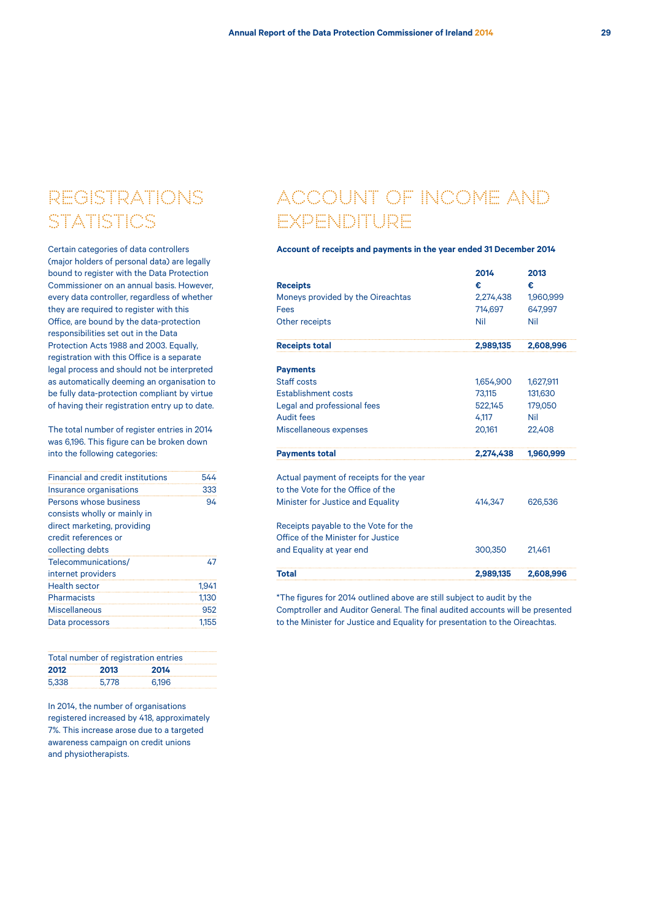## REGISTRATIONS **STATISTICS**

Certain categories of data controllers (major holders of personal data) are legally bound to register with the Data Protection Commissioner on an annual basis. However, every data controller, regardless of whether they are required to register with this Office, are bound by the data-protection responsibilities set out in the Data Protection Acts 1988 and 2003. Equally, registration with this Office is a separate legal process and should not be interpreted as automatically deeming an organisation to be fully data-protection compliant by virtue of having their registration entry up to date.

The total number of register entries in 2014 was 6,196. This figure can be broken down into the following categories:

| <b>Financial and credit institutions</b> | 544   |
|------------------------------------------|-------|
| Insurance organisations                  | 333   |
| Persons whose business                   | 94    |
| consists wholly or mainly in             |       |
| direct marketing, providing              |       |
| credit references or                     |       |
| collecting debts                         |       |
| Telecommunications/                      | 47    |
| internet providers                       |       |
| <b>Health sector</b>                     | 1.941 |
| Pharmacists                              | 1.130 |
| Miscellaneous                            | 952   |
| Data processors                          | 1.155 |
|                                          |       |

| Total number of registration entries |       |       |  |
|--------------------------------------|-------|-------|--|
| 2012                                 | 2013  | 2014  |  |
| 5.338                                | 5.778 | 6.196 |  |

In 2014, the number of organisations registered increased by 418, approximately 7%. This increase arose due to a targeted awareness campaign on credit unions and physiotherapists.

## ACCOUNT OF INCOME AND EXPENDITURE

## **Account of receipts and payments in the year ended 31 December 2014**

|                                         | 2014      | 2013      |
|-----------------------------------------|-----------|-----------|
| <b>Receipts</b>                         | €         | €         |
| Moneys provided by the Oireachtas       | 2,274,438 | 1,960,999 |
| Fees                                    | 714.697   | 647.997   |
| Other receipts                          | Nil       | Nil       |
| <b>Receipts total</b>                   | 2,989,135 | 2,608,996 |
| <b>Payments</b>                         |           |           |
| Staff costs                             | 1,654,900 | 1,627,911 |
| <b>Establishment costs</b>              | 73,115    | 131,630   |
| Legal and professional fees             | 522,145   | 179,050   |
| Audit fees                              | 4.117     | Nil       |
| Miscellaneous expenses                  | 20,161    | 22,408    |
| <b>Payments total</b>                   | 2,274,438 | 1,960,999 |
| Actual payment of receipts for the year |           |           |
| to the Vote for the Office of the       |           |           |
| Minister for Justice and Equality       | 414,347   | 626,536   |
| Receipts payable to the Vote for the    |           |           |
| Office of the Minister for Justice      |           |           |
| and Equality at year end                | 300,350   | 21,461    |
| Total                                   | 2.989.135 | 2.608.996 |

\*The figures for 2014 outlined above are still subject to audit by the Comptroller and Auditor General. The final audited accounts will be presented to the Minister for Justice and Equality for presentation to the Oireachtas.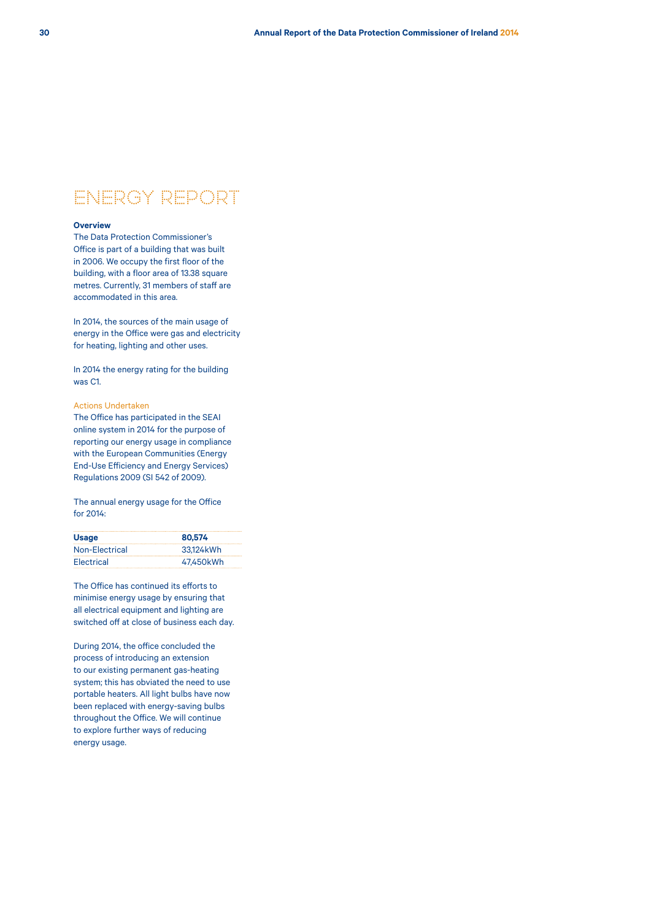## ENERGY REPORT

## **Overview**

The Data Protection Commissioner's Office is part of a building that was built in 2006. We occupy the first floor of the building, with a floor area of 13.38 square metres. Currently, 31 members of staff are accommodated in this area.

In 2014, the sources of the main usage of energy in the Office were gas and electricity for heating, lighting and other uses.

In 2014 the energy rating for the building was C1.

### Actions Undertaken

The Office has participated in the SEAI online system in 2014 for the purpose of reporting our energy usage in compliance with the European Communities (Energy End-Use Efficiency and Energy Services) Regulations 2009 (SI 542 of 2009).

The annual energy usage for the Office for 2014:

| <b>Usage</b>   | 80.574    |
|----------------|-----------|
| Non-Electrical | 33.124kWh |
| Electrical     | 47.450kWh |

The Office has continued its efforts to minimise energy usage by ensuring that all electrical equipment and lighting are switched off at close of business each day.

During 2014, the office concluded the process of introducing an extension to our existing permanent gas-heating system; this has obviated the need to use portable heaters. All light bulbs have now been replaced with energy-saving bulbs throughout the Office. We will continue to explore further ways of reducing energy usage.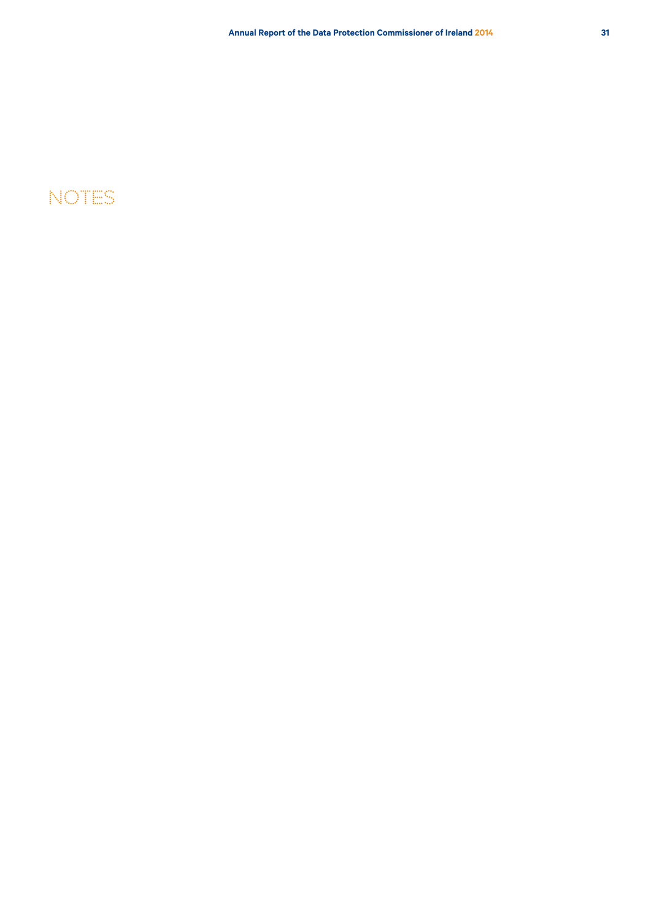## Notes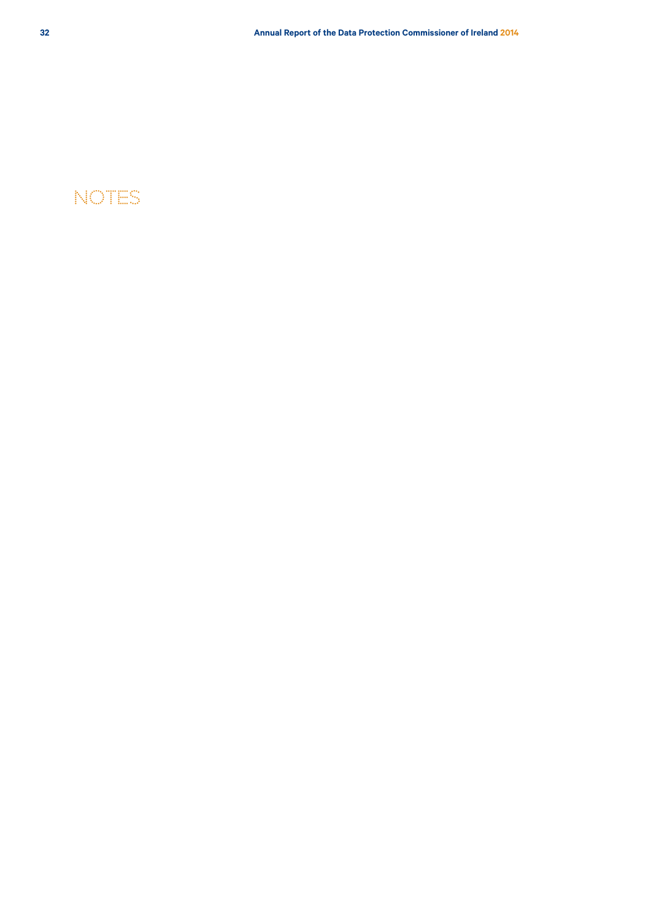## Notes